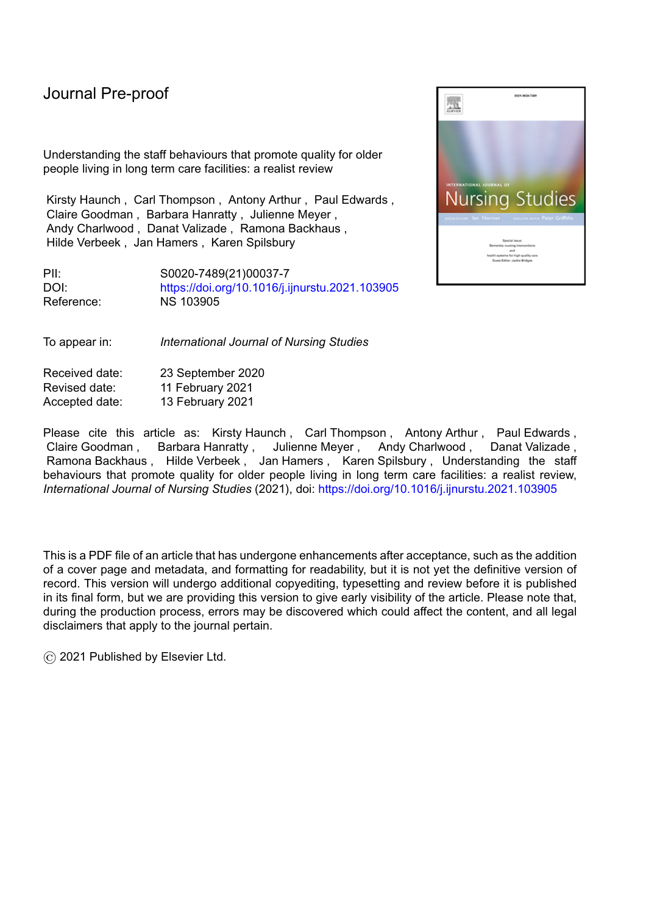Understanding the staff behaviours that promote quality for older people living in long term care facilities: a realist review

Kirsty Haunch , Carl Thompson , Antony Arthur , Paul Edwards , Claire Goodman , Barbara Hanratty , Julienne Meyer , Andy Charlwood , Danat Valizade , Ramona Backhaus , Hilde Verbeek , Jan Hamers , Karen Spilsbury

PII: S0020-7489(21)00037-7 DOI: <https://doi.org/10.1016/j.ijnurstu.2021.103905> Reference: NS 103905

To appear in: *International Journal of Nursing Studies*

Received date: 23 September 2020 Revised date: 11 February 2021 Accepted date: 13 February 2021

Please cite this article as: Kirsty Haunch, Carl Thompson, Antony Arthur, Paul Edwards, Claire Goodman , Barbara Hanratty , Julienne Meyer , Andy Charlwood , Danat Valizade , Ramona Backhaus , Hilde Verbeek , Jan Hamers , Karen Spilsbury , Understanding the staff behaviours that promote quality for older people living in long term care facilities: a realist review, *International Journal of Nursing Studies* (2021), doi: <https://doi.org/10.1016/j.ijnurstu.2021.103905>

This is a PDF file of an article that has undergone enhancements after acceptance, such as the addition of a cover page and metadata, and formatting for readability, but it is not yet the definitive version of record. This version will undergo additional copyediting, typesetting and review before it is published in its final form, but we are providing this version to give early visibility of the article. Please note that, during the production process, errors may be discovered which could affect the content, and all legal disclaimers that apply to the journal pertain.

© 2021 Published by Elsevier Ltd.

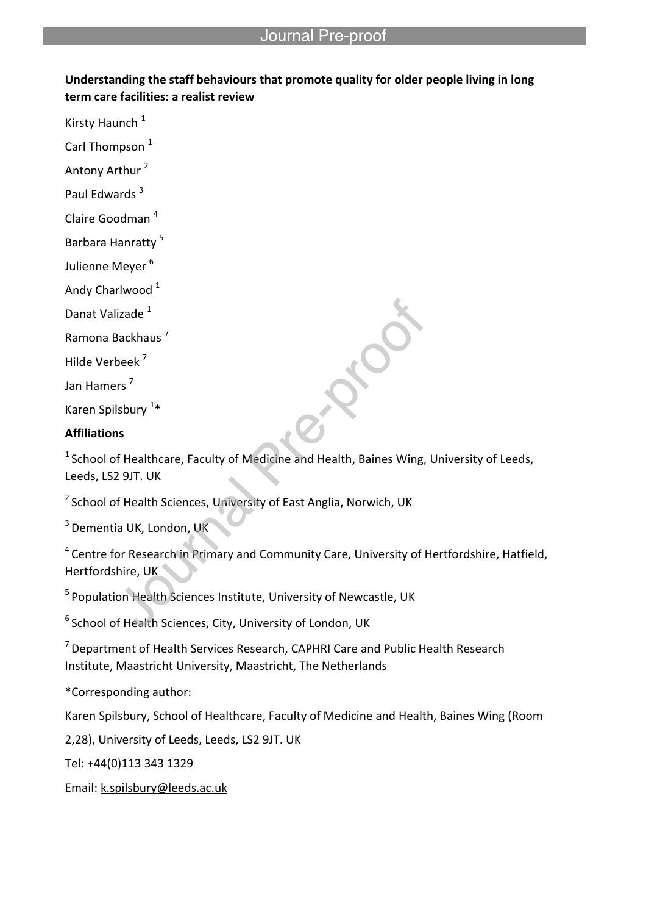# **Understanding the staff behaviours that promote quality for older people living in long term care facilities: a realist review**

l

Kirsty Haunch<sup>1</sup>

Carl Thompson<sup>1</sup>

Antony Arthur<sup>2</sup>

Paul Edwards<sup>3</sup>

Claire Goodman <sup>4</sup>

Barbara Hanratty <sup>5</sup>

Julienne Meyer<sup>6</sup>

Andy Charlwood<sup>1</sup>

Danat Valizade<sup>1</sup>

Ramona Backhaus <sup>7</sup>

Hilde Verbeek <sup>7</sup>

Jan Hamers<sup>7</sup>

Karen Spilsbury<sup>1\*</sup>

# **Affiliations**

 $1$  School of Healthcare, Faculty of Medicine and Health, Baines Wing, University of Leeds, Leeds, LS2 9JT. UK

<sup>2</sup> School of Health Sciences, University of East Anglia, Norwich, UK

<sup>3</sup> Dementia UK, London, UK

<sup>4</sup> Centre for Research in Primary and Community Care, University of Hertfordshire, Hatfield, Hertfordshire, UK

**<sup>5</sup>**Population Health Sciences Institute, University of Newcastle, UK

<sup>6</sup> School of Health Sciences, City, University of London, UK

<sup>7</sup> Department of Health Services Research, CAPHRI Care and Public Health Research Institute, Maastricht University, Maastricht, The Netherlands

\*Corresponding author:

Karen Spilsbury, School of Healthcare, Faculty of Medicine and Health, Baines Wing (Room

2,28), University of Leeds, Leeds, LS2 9JT. UK

Tel: +44(0)113 343 1329

Email: k.spilsbury@leeds.ac.uk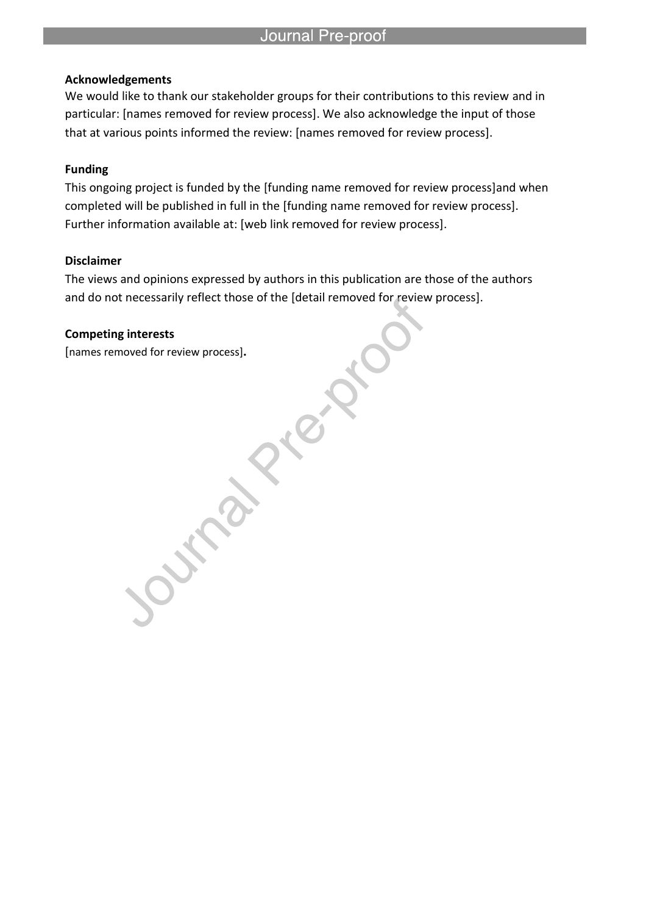#### **Acknowledgements**

We would like to thank our stakeholder groups for their contributions to this review and in particular: [names removed for review process]. We also acknowledge the input of those that at various points informed the review: [names removed for review process].

l

### **Funding**

This ongoing project is funded by the [funding name removed for review process]and when completed will be published in full in the [funding name removed for review process]. Further information available at: [web link removed for review process].

#### **Disclaimer**

The views and opinions expressed by authors in this publication are those of the authors and do not necessarily reflect those of the [detail removed for review process].

### **Competing interests**

[names removed for review process]**.**

**Property**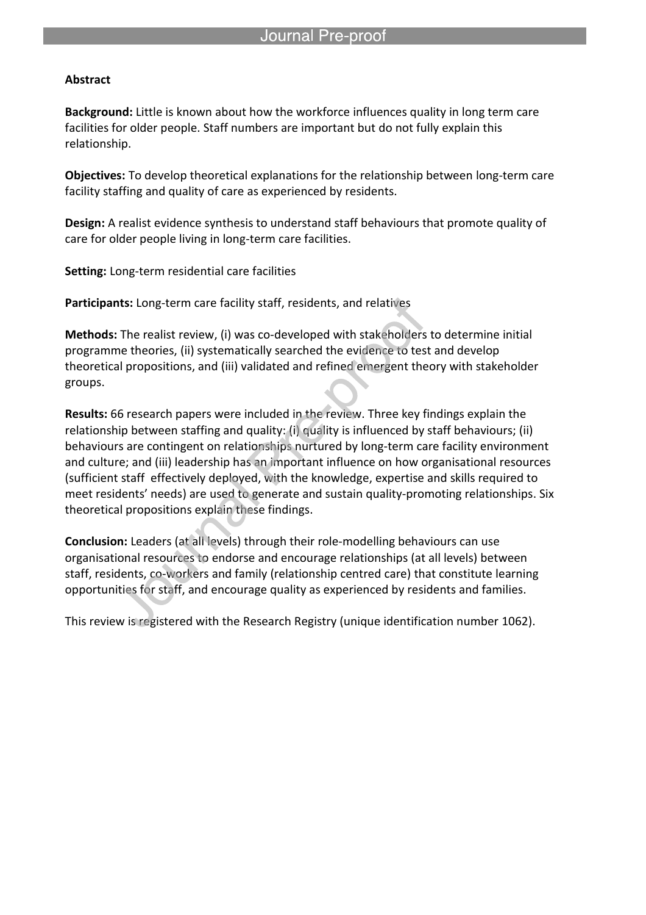#### **Abstract**

**Background:** Little is known about how the workforce influences quality in long term care facilities for older people. Staff numbers are important but do not fully explain this relationship.

**Objectives:** To develop theoretical explanations for the relationship between long-term care facility staffing and quality of care as experienced by residents.

**Design:** A realist evidence synthesis to understand staff behaviours that promote quality of care for older people living in long-term care facilities.

**Setting:** Long-term residential care facilities

**Participants:** Long-term care facility staff, residents, and relatives

l

**Methods:** The realist review, (i) was co-developed with stakeholders to determine initial programme theories, (ii) systematically searched the evidence to test and develop theoretical propositions, and (iii) validated and refined emergent theory with stakeholder groups.

**Results:** 66 research papers were included in the review. Three key findings explain the relationship between staffing and quality: (i) quality is influenced by staff behaviours; (ii) behaviours are contingent on relationships nurtured by long-term care facility environment and culture; and (iii) leadership has an important influence on how organisational resources (sufficient staff effectively deployed, with the knowledge, expertise and skills required to meet residents' needs) are used to generate and sustain quality-promoting relationships. Six theoretical propositions explain these findings.

**Conclusion:** Leaders (at all levels) through their role-modelling behaviours can use organisational resources to endorse and encourage relationships (at all levels) between staff, residents, co-workers and family (relationship centred care) that constitute learning opportunities for staff, and encourage quality as experienced by residents and families.

This review is registered with the Research Registry (unique identification number 1062).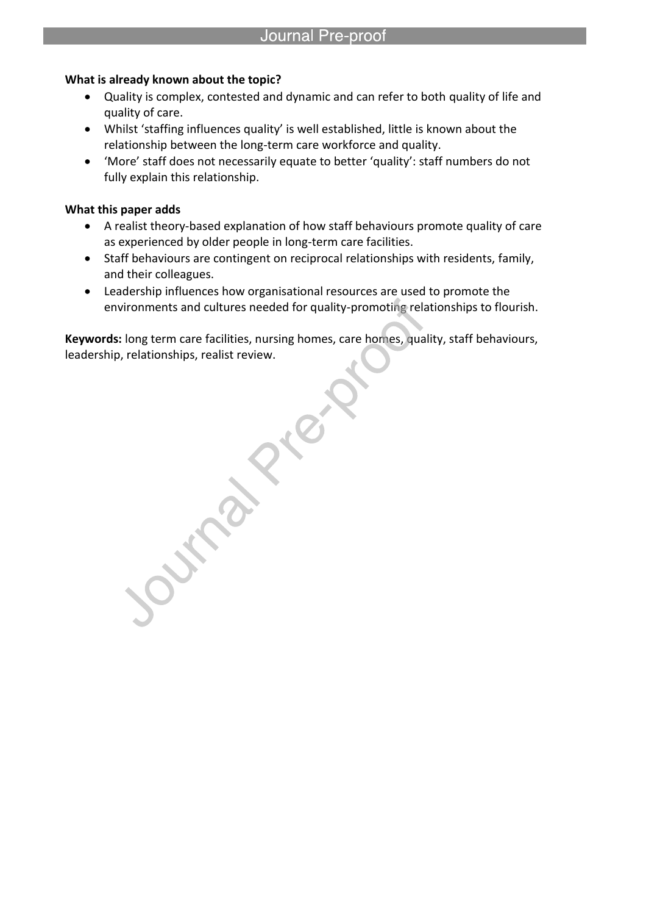### **What is already known about the topic?**

l

- Quality is complex, contested and dynamic and can refer to both quality of life and quality of care.
- Whilst 'staffing influences quality' is well established, little is known about the relationship between the long-term care workforce and quality.
- 'More' staff does not necessarily equate to better 'quality': staff numbers do not fully explain this relationship.

### **What this paper adds**

- A realist theory-based explanation of how staff behaviours promote quality of care as experienced by older people in long-term care facilities.
- Staff behaviours are contingent on reciprocal relationships with residents, family, and their colleagues.
- Leadership influences how organisational resources are used to promote the environments and cultures needed for quality-promoting relationships to flourish.

**Keywords:** long term care facilities, nursing homes, care homes, quality, staff behaviours, leadership, relationships, realist review.

**Pallice**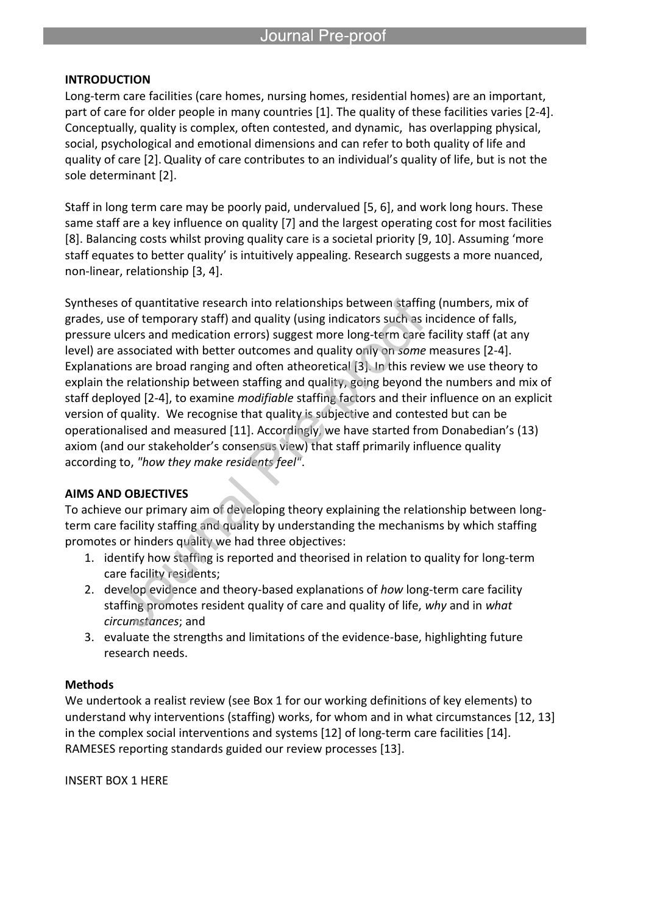#### **INTRODUCTION**

Long-term care facilities (care homes, nursing homes, residential homes) are an important, part of care for older people in many countries [1]. The quality of these facilities varies [2-4]. Conceptually, quality is complex, often contested, and dynamic, has overlapping physical, social, psychological and emotional dimensions and can refer to both quality of life and quality of care [2].Quality of care contributes to an individual's quality of life, but is not the sole determinant [2].

Staff in long term care may be poorly paid, undervalued [5, 6], and work long hours. These same staff are a key influence on quality [7] and the largest operating cost for most facilities [8]. Balancing costs whilst proving quality care is a societal priority [9, 10]. Assuming 'more staff equates to better quality' is intuitively appealing. Research suggests a more nuanced, non-linear, relationship [3, 4].

Syntheses of quantitative research into relationships between staffing (numbers, mix of grades, use of temporary staff) and quality (using indicators such as incidence of falls, pressure ulcers and medication errors) suggest more long-term care facility staff (at any level) are associated with better outcomes and quality only on *some* measures [2-4]. Explanations are broad ranging and often atheoretical [3]. In this review we use theory to explain the relationship between staffing and quality, going beyond the numbers and mix of staff deployed [2-4], to examine *modifiable* staffing factors and their influence on an explicit version of quality. We recognise that quality is subjective and contested but can be operationalised and measured [11]. Accordingly, we have started from Donabedian's (13) axiom (and our stakeholder's consensus view) that staff primarily influence quality according to, *"how they make residents feel"*.

### **AIMS AND OBJECTIVES**

To achieve our primary aim of developing theory explaining the relationship between longterm care facility staffing and quality by understanding the mechanisms by which staffing promotes or hinders quality we had three objectives:

- 1. identify how staffing is reported and theorised in relation to quality for long-term care facility residents;
- 2. develop evidence and theory-based explanations of *how* long-term care facility staffing promotes resident quality of care and quality of life, *why* and in *what circumstances*; and
- 3. evaluate the strengths and limitations of the evidence-base, highlighting future research needs.

### **Methods**

We undertook a realist review (see Box 1 for our working definitions of key elements) to understand why interventions (staffing) works, for whom and in what circumstances [12, 13] in the complex social interventions and systems [12] of long-term care facilities [14]. RAMESES reporting standards guided our review processes [13].

INSERT BOX 1 HERE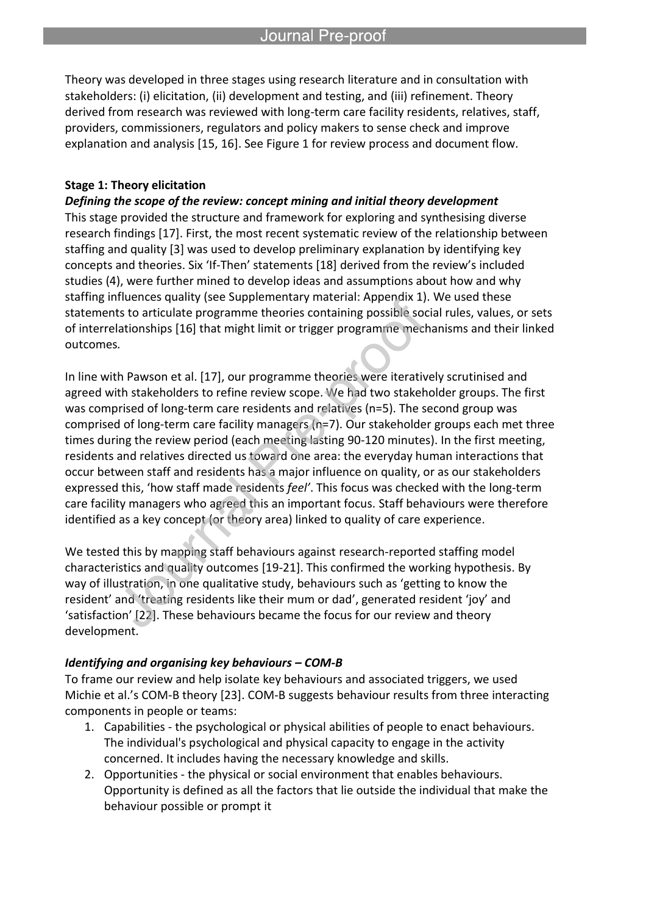Theory was developed in three stages using research literature and in consultation with stakeholders: (i) elicitation, (ii) development and testing, and (iii) refinement. Theory derived from research was reviewed with long-term care facility residents, relatives, staff, providers, commissioners, regulators and policy makers to sense check and improve explanation and analysis [15, 16]. See Figure 1 for review process and document flow.

#### **Stage 1: Theory elicitation**

#### *Defining the scope of the review: concept mining and initial theory development*

l

This stage provided the structure and framework for exploring and synthesising diverse research findings [17]. First, the most recent systematic review of the relationship between staffing and quality [3] was used to develop preliminary explanation by identifying key concepts and theories. Six 'If-Then' statements [18] derived from the review's included studies (4), were further mined to develop ideas and assumptions about how and why staffing influences quality (see Supplementary material: Appendix 1). We used these statements to articulate programme theories containing possible social rules, values, or sets of interrelationships [16] that might limit or trigger programme mechanisms and their linked outcomes*.*

In line with Pawson et al. [17], our programme theories were iteratively scrutinised and agreed with stakeholders to refine review scope. We had two stakeholder groups. The first was comprised of long-term care residents and relatives (n=5). The second group was comprised of long-term care facility managers (n=7). Our stakeholder groups each met three times during the review period (each meeting lasting 90-120 minutes). In the first meeting, residents and relatives directed us toward one area: the everyday human interactions that occur between staff and residents has a major influence on quality, or as our stakeholders expressed this, 'how staff made residents *feel'*. This focus was checked with the long-term care facility managers who agreed this an important focus. Staff behaviours were therefore identified as a key concept (or theory area) linked to quality of care experience.

We tested this by mapping staff behaviours against research-reported staffing model characteristics and quality outcomes [19-21]. This confirmed the working hypothesis. By way of illustration, in one qualitative study, behaviours such as 'getting to know the resident' and 'treating residents like their mum or dad', generated resident 'joy' and 'satisfaction' [22]. These behaviours became the focus for our review and theory development.

#### *Identifying and organising key behaviours – COM-B*

To frame our review and help isolate key behaviours and associated triggers, we used Michie et al.'s COM-B theory [23]. COM-B suggests behaviour results from three interacting components in people or teams:

- 1. Capabilities the psychological or physical abilities of people to enact behaviours. The individual's psychological and physical capacity to engage in the activity concerned. It includes having the necessary knowledge and skills.
- 2. Opportunities the physical or social environment that enables behaviours. Opportunity is defined as all the factors that lie outside the individual that make the behaviour possible or prompt it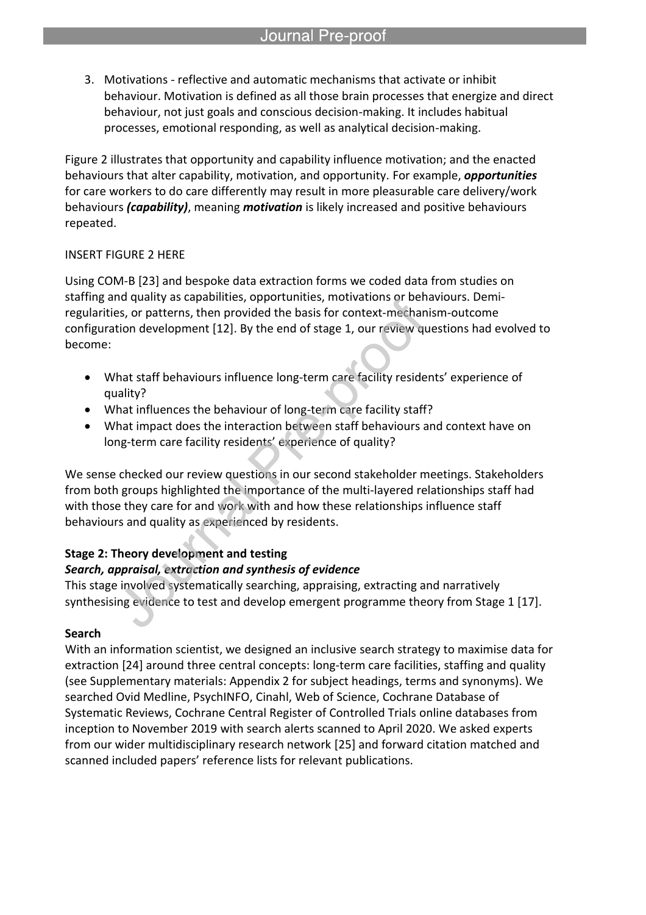3. Motivations - reflective and automatic mechanisms that activate or inhibit behaviour. Motivation is defined as all those brain processes that energize and direct behaviour, not just goals and conscious decision-making. It includes habitual processes, emotional responding, as well as analytical decision-making.

Figure 2 illustrates that opportunity and capability influence motivation; and the enacted behaviours that alter capability, motivation, and opportunity. For example, *opportunities* for care workers to do care differently may result in more pleasurable care delivery/work behaviours *(capability)*, meaning *motivation* is likely increased and positive behaviours repeated.

# INSERT FIGURE 2 HERE

Using COM-B [23] and bespoke data extraction forms we coded data from studies on staffing and quality as capabilities, opportunities, motivations or behaviours. Demiregularities, or patterns, then provided the basis for context-mechanism-outcome configuration development [12]. By the end of stage 1, our review questions had evolved to become:

- What staff behaviours influence long-term care facility residents' experience of quality?
- What influences the behaviour of long-term care facility staff?
- What impact does the interaction between staff behaviours and context have on long-term care facility residents' experience of quality?

We sense checked our review questions in our second stakeholder meetings. Stakeholders from both groups highlighted the importance of the multi-layered relationships staff had with those they care for and work with and how these relationships influence staff behaviours and quality as experienced by residents.

# **Stage 2: Theory development and testing**

# *Search, appraisal, extraction and synthesis of evidence*

This stage involved systematically searching, appraising, extracting and narratively synthesising evidence to test and develop emergent programme theory from Stage 1 [17].

### **Search**

With an information scientist, we designed an inclusive search strategy to maximise data for extraction [24] around three central concepts: long-term care facilities, staffing and quality (see Supplementary materials: Appendix 2 for subject headings, terms and synonyms). We searched Ovid Medline, PsychINFO, Cinahl, Web of Science, Cochrane Database of Systematic Reviews, Cochrane Central Register of Controlled Trials online databases from inception to November 2019 with search alerts scanned to April 2020. We asked experts from our wider multidisciplinary research network [25] and forward citation matched and scanned included papers' reference lists for relevant publications.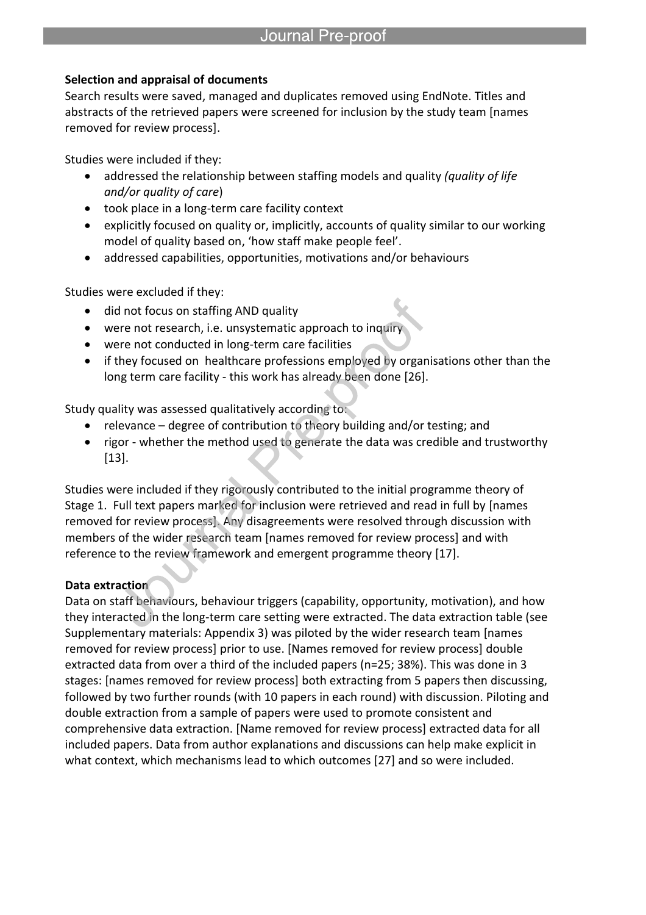# **Selection and appraisal of documents**

Search results were saved, managed and duplicates removed using EndNote. Titles and abstracts of the retrieved papers were screened for inclusion by the study team [names removed for review process].

Studies were included if they:

- addressed the relationship between staffing models and quality *(quality of life and/or quality of care*)
- took place in a long-term care facility context

l

- explicitly focused on quality or, implicitly, accounts of quality similar to our working model of quality based on, 'how staff make people feel'.
- addressed capabilities, opportunities, motivations and/or behaviours

Studies were excluded if they:

- did not focus on staffing AND quality
- were not research, i.e. unsystematic approach to inquir
- were not conducted in long-term care facilities
- if they focused on healthcare professions employed by organisations other than the long term care facility - this work has already been done [26].

Study quality was assessed qualitatively according to:

- relevance degree of contribution to theory building and/or testing; and
- rigor whether the method used to generate the data was credible and trustworthy [13].

Studies were included if they rigorously contributed to the initial programme theory of Stage 1. Full text papers marked for inclusion were retrieved and read in full by [names removed for review process]. Any disagreements were resolved through discussion with members of the wider research team [names removed for review process] and with reference to the review framework and emergent programme theory [17].

# **Data extraction**

Data on staff behaviours, behaviour triggers (capability, opportunity, motivation), and how they interacted in the long-term care setting were extracted. The data extraction table (see Supplementary materials: Appendix 3) was piloted by the wider research team [names removed for review process] prior to use. [Names removed for review process] double extracted data from over a third of the included papers (n=25; 38%). This was done in 3 stages: [names removed for review process] both extracting from 5 papers then discussing, followed by two further rounds (with 10 papers in each round) with discussion. Piloting and double extraction from a sample of papers were used to promote consistent and comprehensive data extraction. [Name removed for review process] extracted data for all included papers. Data from author explanations and discussions can help make explicit in what context, which mechanisms lead to which outcomes [27] and so were included.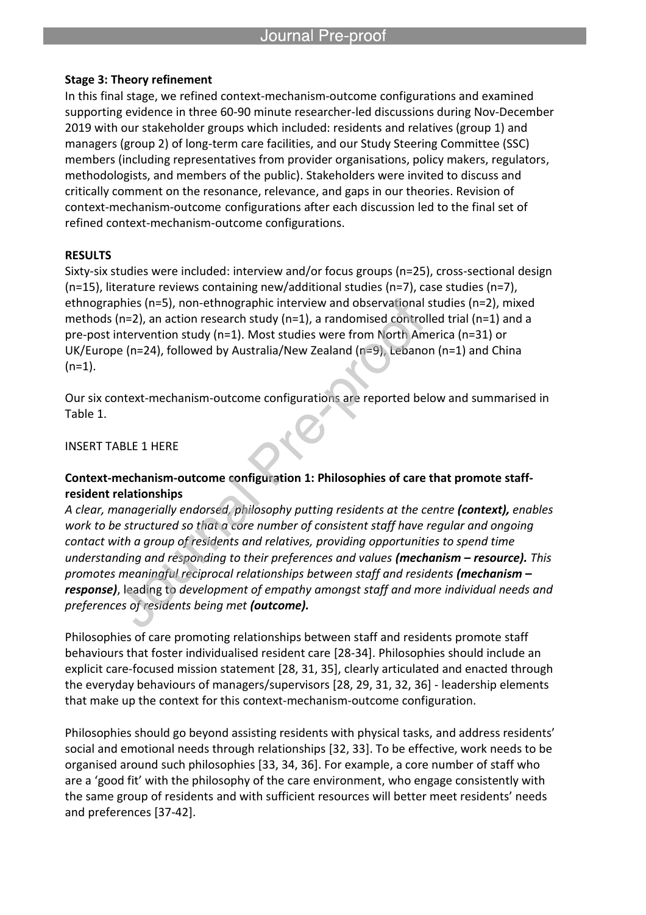### **Stage 3: Theory refinement**

l

In this final stage, we refined context-mechanism-outcome configurations and examined supporting evidence in three 60-90 minute researcher-led discussions during Nov-December 2019 with our stakeholder groups which included: residents and relatives (group 1) and managers (group 2) of long-term care facilities, and our Study Steering Committee (SSC) members (including representatives from provider organisations, policy makers, regulators, methodologists, and members of the public). Stakeholders were invited to discuss and critically comment on the resonance, relevance, and gaps in our theories. Revision of context-mechanism-outcome configurations after each discussion led to the final set of refined context-mechanism-outcome configurations.

# **RESULTS**

Sixty-six studies were included: interview and/or focus groups (n=25), cross-sectional design (n=15), literature reviews containing new/additional studies (n=7), case studies (n=7), ethnographies (n=5), non-ethnographic interview and observational studies (n=2), mixed methods ( $n=2$ ), an action research study ( $n=1$ ), a randomised controlled trial ( $n=1$ ) and a pre-post intervention study (n=1). Most studies were from North America (n=31) or UK/Europe (n=24), followed by Australia/New Zealand (n=9), Lebanon (n=1) and China  $(n=1)$ .

Our six context-mechanism-outcome configurations are reported below and summarised in Table 1.

INSERT TABLE 1 HERE

# **Context-mechanism-outcome configuration 1: Philosophies of care that promote staffresident relationships**

*A clear, managerially endorsed, philosophy putting residents at the centre (context), enables work to be structured so that a core number of consistent staff have regular and ongoing contact with a group of residents and relatives, providing opportunities to spend time understanding and responding to their preferences and values (mechanism – resource). This promotes meaningful reciprocal relationships between staff and residents (mechanism – response)*, leading to *development of empathy amongst staff and more individual needs and preferences of residents being met (outcome).*

Philosophies of care promoting relationships between staff and residents promote staff behaviours that foster individualised resident care [28-34]. Philosophies should include an explicit care-focused mission statement [28, 31, 35], clearly articulated and enacted through the everyday behaviours of managers/supervisors [28, 29, 31, 32, 36] - leadership elements that make up the context for this context-mechanism-outcome configuration.

Philosophies should go beyond assisting residents with physical tasks, and address residents' social and emotional needs through relationships [32, 33]. To be effective, work needs to be organised around such philosophies [33, 34, 36]. For example, a core number of staff who are a 'good fit' with the philosophy of the care environment, who engage consistently with the same group of residents and with sufficient resources will better meet residents' needs and preferences [37-42].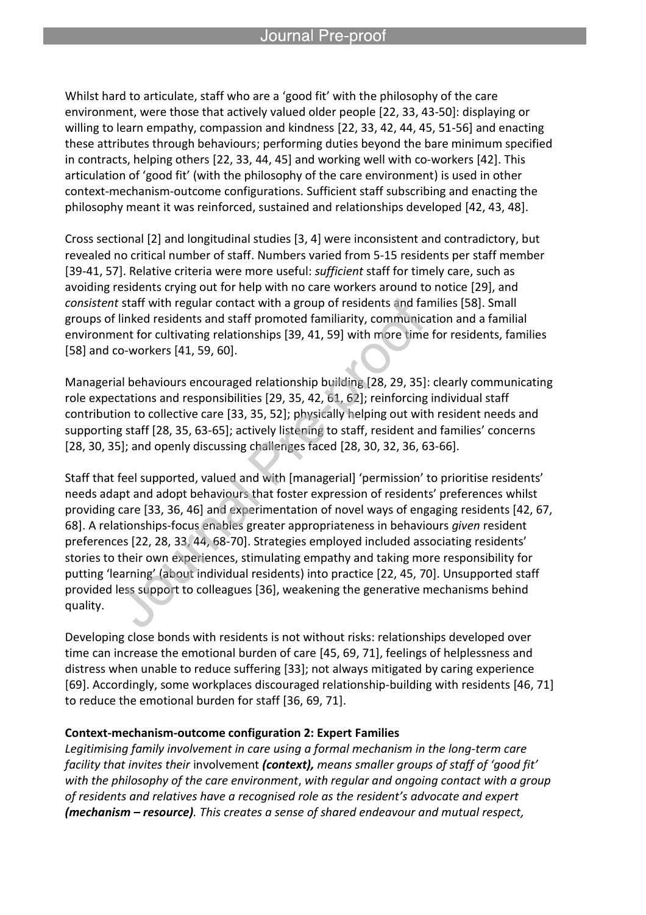Whilst hard to articulate, staff who are a 'good fit' with the philosophy of the care environment, were those that actively valued older people [22, 33, 43-50]: displaying or willing to learn empathy, compassion and kindness [22, 33, 42, 44, 45, 51-56] and enacting these attributes through behaviours; performing duties beyond the bare minimum specified in contracts, helping others [22, 33, 44, 45] and working well with co-workers [42]. This articulation of 'good fit' (with the philosophy of the care environment) is used in other context-mechanism-outcome configurations. Sufficient staff subscribing and enacting the philosophy meant it was reinforced, sustained and relationships developed [42, 43, 48].

Cross sectional [2] and longitudinal studies [3, 4] were inconsistent and contradictory, but revealed no critical number of staff. Numbers varied from 5-15 residents per staff member [39-41, 57]. Relative criteria were more useful: *sufficient* staff for timely care, such as avoiding residents crying out for help with no care workers around to notice [29], and *consistent* staff with regular contact with a group of residents and families [58]. Small groups of linked residents and staff promoted familiarity, communication and a familial environment for cultivating relationships [39, 41, 59] with more time for residents, families [58] and co-workers [41, 59, 60].

Managerial behaviours encouraged relationship building [28, 29, 35]: clearly communicating role expectations and responsibilities [29, 35, 42, 61, 62]; reinforcing individual staff contribution to collective care [33, 35, 52]; physically helping out with resident needs and supporting staff [28, 35, 63-65]; actively listening to staff, resident and families' concerns [28, 30, 35]; and openly discussing challenges faced [28, 30, 32, 36, 63-66].

Staff that feel supported, valued and with [managerial] 'permission' to prioritise residents' needs adapt and adopt behaviours that foster expression of residents' preferences whilst providing care [33, 36, 46] and experimentation of novel ways of engaging residents [42, 67, 68]. A relationships-focus enables greater appropriateness in behaviours *given* resident preferences [22, 28, 33, 44, 68-70]. Strategies employed included associating residents' stories to their own experiences, stimulating empathy and taking more responsibility for putting 'learning' (about individual residents) into practice [22, 45, 70]. Unsupported staff provided less support to colleagues [36], weakening the generative mechanisms behind quality.

Developing close bonds with residents is not without risks: relationships developed over time can increase the emotional burden of care [45, 69, 71], feelings of helplessness and distress when unable to reduce suffering [33]; not always mitigated by caring experience [69]. Accordingly, some workplaces discouraged relationship-building with residents [46, 71] to reduce the emotional burden for staff [36, 69, 71].

### **Context-mechanism-outcome configuration 2: Expert Families**

*Legitimising family involvement in care using a formal mechanism in the long-term care facility that invites their* involvement *(context), means smaller groups of staff of 'good fit' with the philosophy of the care environment*, *with regular and ongoing contact with a group of residents and relatives have a recognised role as the resident's advocate and expert (mechanism – resource). This creates a sense of shared endeavour and mutual respect,*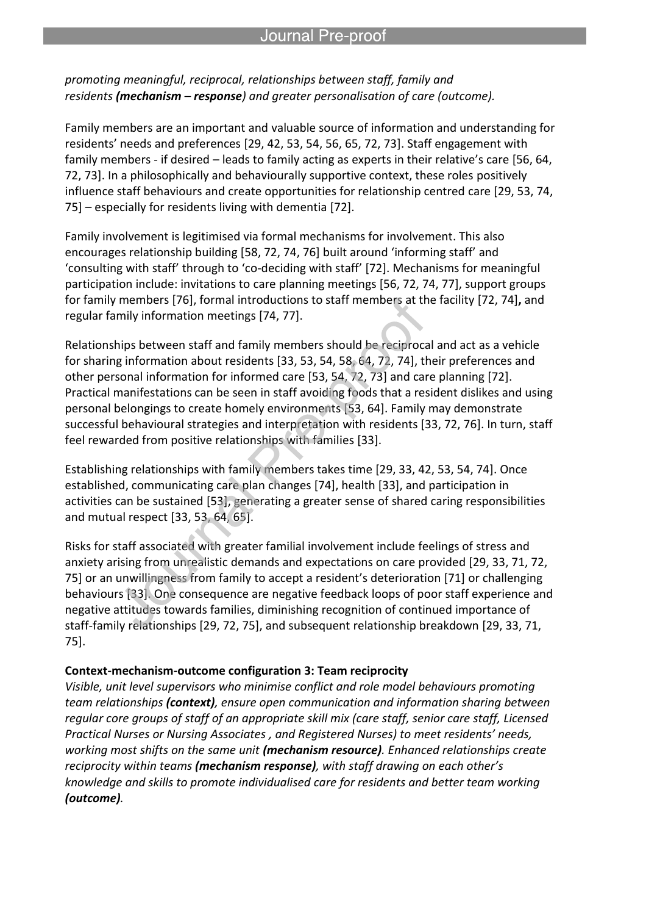*promoting meaningful, reciprocal, relationships between staff, family and residents (mechanism – response) and greater personalisation of care (outcome).* 

l

Family members are an important and valuable source of information and understanding for residents' needs and preferences [29, 42, 53, 54, 56, 65, 72, 73]. Staff engagement with family members - if desired – leads to family acting as experts in their relative's care [56, 64, 72, 73]. In a philosophically and behaviourally supportive context, these roles positively influence staff behaviours and create opportunities for relationship centred care [29, 53, 74, 75] – especially for residents living with dementia [72].

Family involvement is legitimised via formal mechanisms for involvement. This also encourages relationship building [58, 72, 74, 76] built around 'informing staff' and 'consulting with staff' through to 'co-deciding with staff' [72]. Mechanisms for meaningful participation include: invitations to care planning meetings [56, 72, 74, 77], support groups for family members [76], formal introductions to staff members at the facility [72, 74]**,** and regular family information meetings [74, 77].

Relationships between staff and family members should be reciprocal and act as a vehicle for sharing information about residents [33, 53, 54, 58, 64, 72, 74], their preferences and other personal information for informed care [53, 54, 72, 73] and care planning [72]. Practical manifestations can be seen in staff avoiding foods that a resident dislikes and using personal belongings to create homely environments [53, 64]. Family may demonstrate successful behavioural strategies and interpretation with residents [33, 72, 76]. In turn, staff feel rewarded from positive relationships with families [33].

Establishing relationships with family members takes time [29, 33, 42, 53, 54, 74]. Once established, communicating care plan changes [74], health [33], and participation in activities can be sustained [53], generating a greater sense of shared caring responsibilities and mutual respect [33, 53, 64, 65].

Risks for staff associated with greater familial involvement include feelings of stress and anxiety arising from unrealistic demands and expectations on care provided [29, 33, 71, 72, 75] or an unwillingness from family to accept a resident's deterioration [71] or challenging behaviours [33]. One consequence are negative feedback loops of poor staff experience and negative attitudes towards families, diminishing recognition of continued importance of staff-family relationships [29, 72, 75], and subsequent relationship breakdown [29, 33, 71, 75].

# **Context-mechanism-outcome configuration 3: Team reciprocity**

*Visible, unit level supervisors who minimise conflict and role model behaviours promoting team relationships (context), ensure open communication and information sharing between regular core groups of staff of an appropriate skill mix (care staff, senior care staff, Licensed Practical Nurses or Nursing Associates , and Registered Nurses) to meet residents' needs, working most shifts on the same unit (mechanism resource). Enhanced relationships create reciprocity within teams (mechanism response), with staff drawing on each other's knowledge and skills to promote individualised care for residents and better team working (outcome).*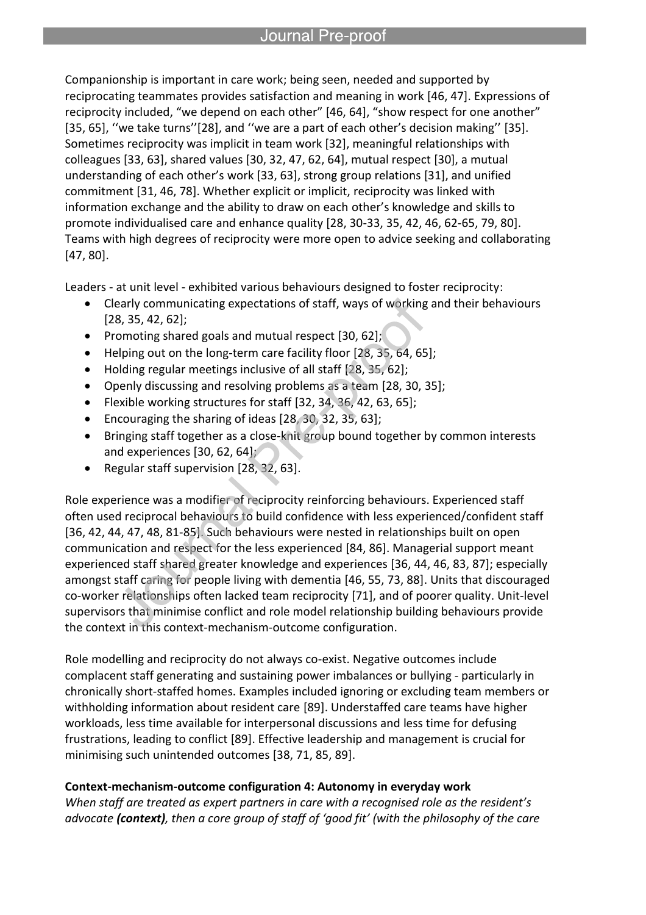Companionship is important in care work; being seen, needed and supported by reciprocating teammates provides satisfaction and meaning in work [46, 47]. Expressions of reciprocity included, "we depend on each other" [46, 64], "show respect for one another" [35, 65], "we take turns"[28], and "we are a part of each other's decision making" [35]. Sometimes reciprocity was implicit in team work [32], meaningful relationships with colleagues [33, 63], shared values [30, 32, 47, 62, 64], mutual respect [30], a mutual understanding of each other's work [33, 63], strong group relations [31], and unified commitment [31, 46, 78]. Whether explicit or implicit, reciprocity was linked with information exchange and the ability to draw on each other's knowledge and skills to promote individualised care and enhance quality [28, 30-33, 35, 42, 46, 62-65, 79, 80]. Teams with high degrees of reciprocity were more open to advice seeking and collaborating [47, 80].

Leaders - at unit level - exhibited various behaviours designed to foster reciprocity:

- Clearly communicating expectations of staff, ways of working and their behaviours [28, 35, 42, 62];
- Promoting shared goals and mutual respect  $[30, 62]$ ;

l

- Helping out on the long-term care facility floor [28, 35, 64, 65];
- Holding regular meetings inclusive of all staff [28, 35, 62];
- Openly discussing and resolving problems as a team [28, 30, 35];
- Flexible working structures for staff [32, 34, 36, 42, 63, 65];
- Encouraging the sharing of ideas [28, 30, 32, 35, 63];
- Bringing staff together as a close-knit group bound together by common interests and experiences [30, 62, 64];
- Regular staff supervision [28, 32, 63].

Role experience was a modifier of reciprocity reinforcing behaviours. Experienced staff often used reciprocal behaviours to build confidence with less experienced/confident staff [36, 42, 44, 47, 48, 81-85]. Such behaviours were nested in relationships built on open communication and respect for the less experienced [84, 86]. Managerial support meant experienced staff shared greater knowledge and experiences [36, 44, 46, 83, 87]; especially amongst staff caring for people living with dementia [46, 55, 73, 88]. Units that discouraged co-worker relationships often lacked team reciprocity [71], and of poorer quality. Unit-level supervisors that minimise conflict and role model relationship building behaviours provide the context in this context-mechanism-outcome configuration.

Role modelling and reciprocity do not always co-exist. Negative outcomes include complacent staff generating and sustaining power imbalances or bullying - particularly in chronically short-staffed homes. Examples included ignoring or excluding team members or withholding information about resident care [89]. Understaffed care teams have higher workloads, less time available for interpersonal discussions and less time for defusing frustrations, leading to conflict [89]. Effective leadership and management is crucial for minimising such unintended outcomes [38, 71, 85, 89].

# **Context-mechanism-outcome configuration 4: Autonomy in everyday work**

*When staff are treated as expert partners in care with a recognised role as the resident's advocate (context), then a core group of staff of 'good fit' (with the philosophy of the care*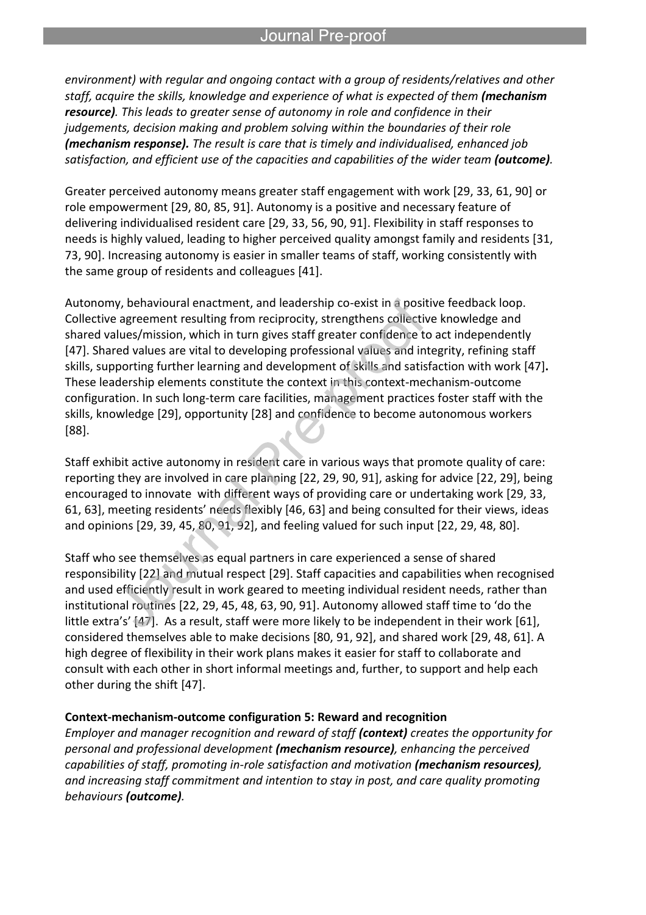*environment) with regular and ongoing contact with a group of residents/relatives and other staff, acquire the skills, knowledge and experience of what is expected of them (mechanism resource). This leads to greater sense of autonomy in role and confidence in their judgements, decision making and problem solving within the boundaries of their role (mechanism response). The result is care that is timely and individualised, enhanced job satisfaction, and efficient use of the capacities and capabilities of the wider team (outcome).* 

Greater perceived autonomy means greater staff engagement with work [29, 33, 61, 90] or role empowerment [29, 80, 85, 91]. Autonomy is a positive and necessary feature of delivering individualised resident care [29, 33, 56, 90, 91]. Flexibility in staff responses to needs is highly valued, leading to higher perceived quality amongst family and residents [31, 73, 90]. Increasing autonomy is easier in smaller teams of staff, working consistently with the same group of residents and colleagues [41].

Autonomy, behavioural enactment, and leadership co-exist in a positive feedback loop. Collective agreement resulting from reciprocity, strengthens collective knowledge and shared values/mission, which in turn gives staff greater confidence to act independently [47]. Shared values are vital to developing professional values and integrity, refining staff skills, supporting further learning and development of skills and satisfaction with work [47]**.** These leadership elements constitute the context in this context-mechanism-outcome configuration. In such long-term care facilities, management practices foster staff with the skills, knowledge [29], opportunity [28] and confidence to become autonomous workers [88].

Staff exhibit active autonomy in resident care in various ways that promote quality of care: reporting they are involved in care planning [22, 29, 90, 91], asking for advice [22, 29], being encouraged to innovate with different ways of providing care or undertaking work [29, 33, 61, 63], meeting residents' needs flexibly [46, 63] and being consulted for their views, ideas and opinions [29, 39, 45, 80, 91, 92], and feeling valued for such input [22, 29, 48, 80].

Staff who see themselves as equal partners in care experienced a sense of shared responsibility [22] and mutual respect [29]. Staff capacities and capabilities when recognised and used efficiently result in work geared to meeting individual resident needs, rather than institutional routines [22, 29, 45, 48, 63, 90, 91]. Autonomy allowed staff time to 'do the little extra's' [47]. As a result, staff were more likely to be independent in their work [61], considered themselves able to make decisions [80, 91, 92], and shared work [29, 48, 61]. A high degree of flexibility in their work plans makes it easier for staff to collaborate and consult with each other in short informal meetings and, further, to support and help each other during the shift [47].

#### **Context-mechanism-outcome configuration 5: Reward and recognition**

*Employer and manager recognition and reward of staff (context) creates the opportunity for personal and professional development (mechanism resource), enhancing the perceived capabilities of staff, promoting in-role satisfaction and motivation (mechanism resources), and increasing staff commitment and intention to stay in post, and care quality promoting behaviours (outcome).*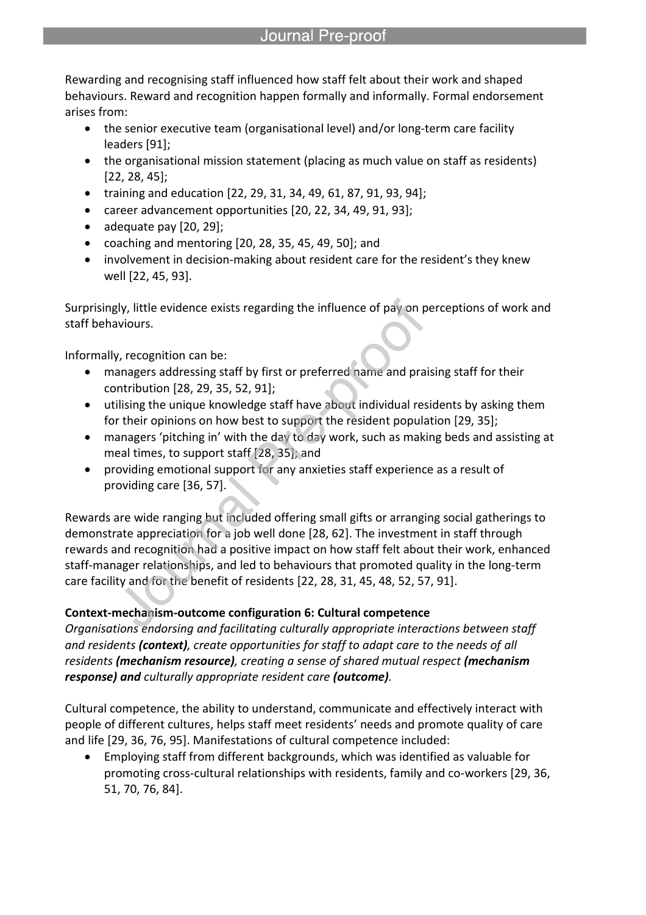Rewarding and recognising staff influenced how staff felt about their work and shaped behaviours. Reward and recognition happen formally and informally. Formal endorsement arises from:

- the senior executive team (organisational level) and/or long-term care facility leaders [91];
- the organisational mission statement (placing as much value on staff as residents) [22, 28, 45];
- training and education  $[22, 29, 31, 34, 49, 61, 87, 91, 93, 94]$ ;
- career advancement opportunities [20, 22, 34, 49, 91, 93];
- $\bullet$  adequate pay  $[20, 29]$ ;
- coaching and mentoring [20, 28, 35, 45, 49, 50]; and

l

 involvement in decision-making about resident care for the resident's they knew well [22, 45, 93].

Surprisingly, little evidence exists regarding the influence of pay on perceptions of work and staff behaviours.

Informally, recognition can be:

- managers addressing staff by first or preferred name and praising staff for their contribution [28, 29, 35, 52, 91];
- utilising the unique knowledge staff have about individual residents by asking them for their opinions on how best to support the resident population [29, 35];
- managers 'pitching in' with the day to day work, such as making beds and assisting at meal times, to support staff [28, 35]; and
- providing emotional support for any anxieties staff experience as a result of providing care [36, 57].

Rewards are wide ranging but included offering small gifts or arranging social gatherings to demonstrate appreciation for a job well done [28, 62]. The investment in staff through rewards and recognition had a positive impact on how staff felt about their work, enhanced staff-manager relationships, and led to behaviours that promoted quality in the long-term care facility and for the benefit of residents [22, 28, 31, 45, 48, 52, 57, 91].

# **Context-mechanism-outcome configuration 6: Cultural competence**

*Organisations endorsing and facilitating culturally appropriate interactions between staff and residents (context), create opportunities for staff to adapt care to the needs of all residents (mechanism resource), creating a sense of shared mutual respect (mechanism response) and culturally appropriate resident care (outcome).*

Cultural competence, the ability to understand, communicate and effectively interact with people of different cultures, helps staff meet residents' needs and promote quality of care and life [29, 36, 76, 95]. Manifestations of cultural competence included:

 Employing staff from different backgrounds, which was identified as valuable for promoting cross-cultural relationships with residents, family and co-workers [29, 36, 51, 70, 76, 84].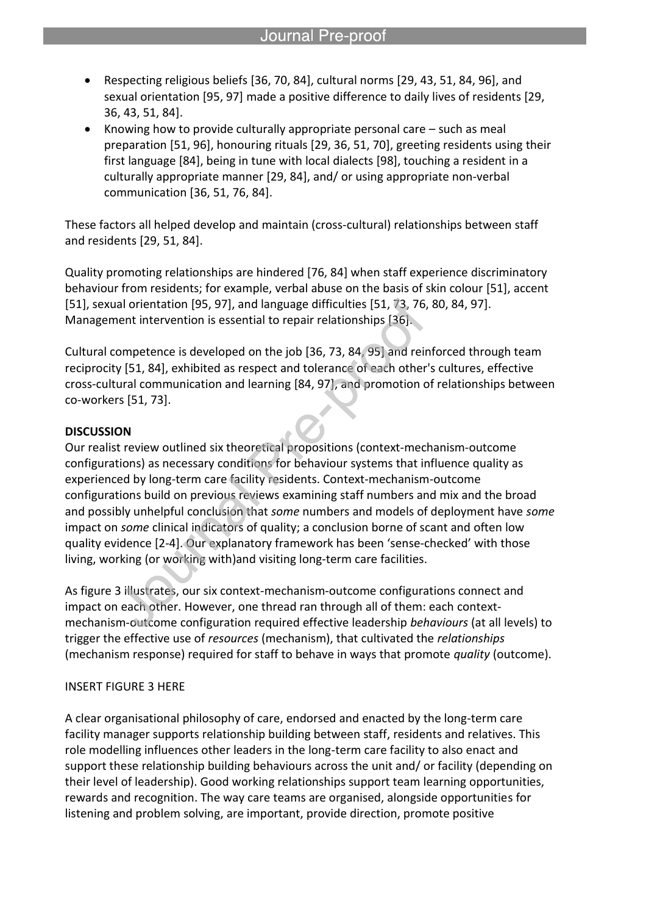- Respecting religious beliefs [36, 70, 84], cultural norms [29, 43, 51, 84, 96], and sexual orientation [95, 97] made a positive difference to daily lives of residents [29, 36, 43, 51, 84].
- Knowing how to provide culturally appropriate personal care such as meal preparation [51, 96], honouring rituals [29, 36, 51, 70], greeting residents using their first language [84], being in tune with local dialects [98], touching a resident in a culturally appropriate manner [29, 84], and/ or using appropriate non-verbal communication [36, 51, 76, 84].

These factors all helped develop and maintain (cross-cultural) relationships between staff and residents [29, 51, 84].

Quality promoting relationships are hindered [76, 84] when staff experience discriminatory behaviour from residents; for example, verbal abuse on the basis of skin colour [51], accent [51], sexual orientation [95, 97], and language difficulties [51, 73, 76, 80, 84, 97]. Management intervention is essential to repair relationships [36].

Cultural competence is developed on the job [36, 73, 84, 95] and reinforced through team reciprocity [51, 84], exhibited as respect and tolerance of each other's cultures, effective cross-cultural communication and learning [84, 97], and promotion of relationships between co-workers [51, 73].

### **DISCUSSION**

Our realist review outlined six theoretical propositions (context-mechanism-outcome configurations) as necessary conditions for behaviour systems that influence quality as experienced by long-term care facility residents. Context-mechanism-outcome configurations build on previous reviews examining staff numbers and mix and the broad and possibly unhelpful conclusion that *some* numbers and models of deployment have *some* impact on *some* clinical indicators of quality; a conclusion borne of scant and often low quality evidence [2-4]. Our explanatory framework has been 'sense-checked' with those living, working (or working with)and visiting long-term care facilities.

As figure 3 illustrates, our six context-mechanism-outcome configurations connect and impact on each other. However, one thread ran through all of them: each contextmechanism-outcome configuration required effective leadership *behaviours* (at all levels) to trigger the effective use of *resources* (mechanism), that cultivated the *relationships* (mechanism response) required for staff to behave in ways that promote *quality* (outcome).

### INSERT FIGURE 3 HERE

A clear organisational philosophy of care, endorsed and enacted by the long-term care facility manager supports relationship building between staff, residents and relatives. This role modelling influences other leaders in the long-term care facility to also enact and support these relationship building behaviours across the unit and/ or facility (depending on their level of leadership). Good working relationships support team learning opportunities, rewards and recognition. The way care teams are organised, alongside opportunities for listening and problem solving, are important, provide direction, promote positive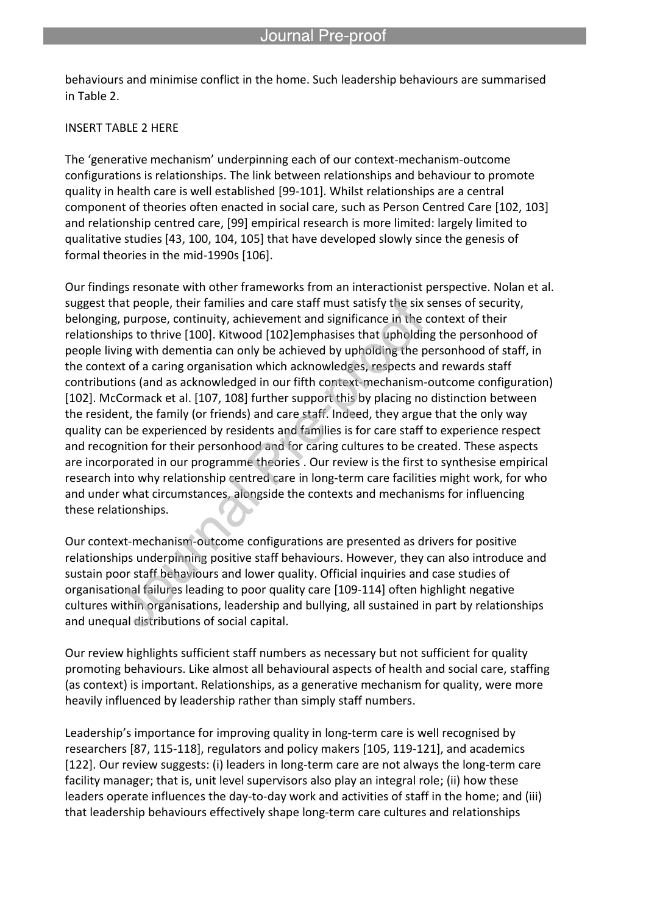behaviours and minimise conflict in the home. Such leadership behaviours are summarised in Table 2.

l

#### INSERT TABLE 2 HERE

The 'generative mechanism' underpinning each of our context-mechanism-outcome configurations is relationships. The link between relationships and behaviour to promote quality in health care is well established [99-101]. Whilst relationships are a central component of theories often enacted in social care, such as Person Centred Care [102, 103] and relationship centred care, [99] empirical research is more limited: largely limited to qualitative studies [43, 100, 104, 105] that have developed slowly since the genesis of formal theories in the mid-1990s [106].

Our findings resonate with other frameworks from an interactionist perspective. Nolan et al. suggest that people, their families and care staff must satisfy the six senses of security, belonging, purpose, continuity, achievement and significance in the context of their relationships to thrive [100]. Kitwood [102]emphasises that upholding the personhood of people living with dementia can only be achieved by upholding the personhood of staff, in the context of a caring organisation which acknowledges, respects and rewards staff contributions (and as acknowledged in our fifth context-mechanism-outcome configuration) [102]. McCormack et al. [107, 108] further support this by placing no distinction between the resident, the family (or friends) and care staff. Indeed, they argue that the only way quality can be experienced by residents and families is for care staff to experience respect and recognition for their personhood and for caring cultures to be created. These aspects are incorporated in our programme theories . Our review is the first to synthesise empirical research into why relationship centred care in long-term care facilities might work, for who and under what circumstances, alongside the contexts and mechanisms for influencing these relationships.

Our context-mechanism-outcome configurations are presented as drivers for positive relationships underpinning positive staff behaviours. However, they can also introduce and sustain poor staff behaviours and lower quality. Official inquiries and case studies of organisational failures leading to poor quality care [109-114] often highlight negative cultures within organisations, leadership and bullying, all sustained in part by relationships and unequal distributions of social capital.

Our review highlights sufficient staff numbers as necessary but not sufficient for quality promoting behaviours. Like almost all behavioural aspects of health and social care, staffing (as context) is important. Relationships, as a generative mechanism for quality, were more heavily influenced by leadership rather than simply staff numbers.

Leadership's importance for improving quality in long-term care is well recognised by researchers [87, 115-118], regulators and policy makers [105, 119-121], and academics [122]. Our review suggests: (i) leaders in long-term care are not always the long-term care facility manager; that is, unit level supervisors also play an integral role; (ii) how these leaders operate influences the day-to-day work and activities of staff in the home; and (iii) that leadership behaviours effectively shape long-term care cultures and relationships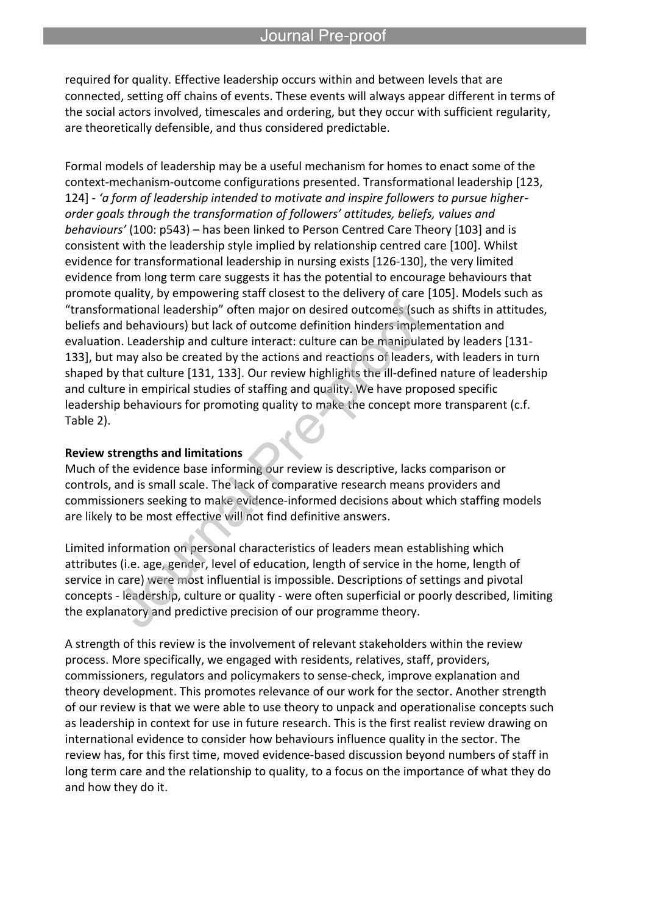required for quality. Effective leadership occurs within and between levels that are connected, setting off chains of events. These events will always appear different in terms of the social actors involved, timescales and ordering, but they occur with sufficient regularity, are theoretically defensible, and thus considered predictable.

l

Formal models of leadership may be a useful mechanism for homes to enact some of the context-mechanism-outcome configurations presented. Transformational leadership [123, 124] - *'a form of leadership intended to motivate and inspire followers to pursue higherorder goals through the transformation of followers' attitudes, beliefs, values and behaviours'* (100: p543) – has been linked to Person Centred Care Theory [103] and is consistent with the leadership style implied by relationship centred care [100]. Whilst evidence for transformational leadership in nursing exists [126-130], the very limited evidence from long term care suggests it has the potential to encourage behaviours that promote quality, by empowering staff closest to the delivery of care [105]. Models such as "transformational leadership" often major on desired outcomes (such as shifts in attitudes, beliefs and behaviours) but lack of outcome definition hinders implementation and evaluation. Leadership and culture interact: culture can be manipulated by leaders [131- 133], but may also be created by the actions and reactions of leaders, with leaders in turn shaped by that culture [131, 133]. Our review highlights the ill-defined nature of leadership and culture in empirical studies of staffing and quality. We have proposed specific leadership behaviours for promoting quality to make the concept more transparent (c.f. Table 2).

#### **Review strengths and limitations**

Much of the evidence base informing our review is descriptive, lacks comparison or controls, and is small scale. The lack of comparative research means providers and commissioners seeking to make evidence-informed decisions about which staffing models are likely to be most effective will not find definitive answers.

Limited information on personal characteristics of leaders mean establishing which attributes (i.e. age, gender, level of education, length of service in the home, length of service in care) were most influential is impossible. Descriptions of settings and pivotal concepts - leadership, culture or quality - were often superficial or poorly described, limiting the explanatory and predictive precision of our programme theory.

A strength of this review is the involvement of relevant stakeholders within the review process. More specifically, we engaged with residents, relatives, staff, providers, commissioners, regulators and policymakers to sense-check, improve explanation and theory development. This promotes relevance of our work for the sector. Another strength of our review is that we were able to use theory to unpack and operationalise concepts such as leadership in context for use in future research. This is the first realist review drawing on international evidence to consider how behaviours influence quality in the sector. The review has, for this first time, moved evidence-based discussion beyond numbers of staff in long term care and the relationship to quality, to a focus on the importance of what they do and how they do it.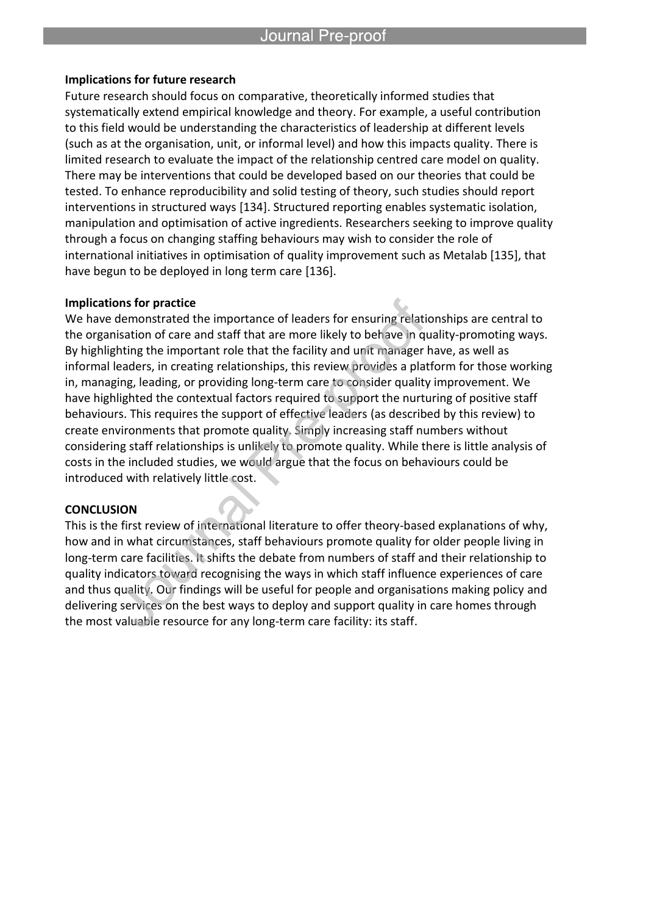#### **Implications for future research**

l

Future research should focus on comparative, theoretically informed studies that systematically extend empirical knowledge and theory. For example, a useful contribution to this field would be understanding the characteristics of leadership at different levels (such as at the organisation, unit, or informal level) and how this impacts quality. There is limited research to evaluate the impact of the relationship centred care model on quality. There may be interventions that could be developed based on our theories that could be tested. To enhance reproducibility and solid testing of theory, such studies should report interventions in structured ways [134]. Structured reporting enables systematic isolation, manipulation and optimisation of active ingredients. Researchers seeking to improve quality through a focus on changing staffing behaviours may wish to consider the role of international initiatives in optimisation of quality improvement such as Metalab [135], that have begun to be deployed in long term care [136].

### **Implications for practice**

We have demonstrated the importance of leaders for ensuring relationships are central to the organisation of care and staff that are more likely to behave in quality-promoting ways. By highlighting the important role that the facility and unit manager have, as well as informal leaders, in creating relationships, this review provides a platform for those working in, managing, leading, or providing long-term care to consider quality improvement. We have highlighted the contextual factors required to support the nurturing of positive staff behaviours. This requires the support of effective leaders (as described by this review) to create environments that promote quality. Simply increasing staff numbers without considering staff relationships is unlikely to promote quality. While there is little analysis of costs in the included studies, we would argue that the focus on behaviours could be introduced with relatively little cost.

#### **CONCLUSION**

This is the first review of international literature to offer theory-based explanations of why, how and in what circumstances, staff behaviours promote quality for older people living in long-term care facilities. It shifts the debate from numbers of staff and their relationship to quality indicators toward recognising the ways in which staff influence experiences of care and thus quality. Our findings will be useful for people and organisations making policy and delivering services on the best ways to deploy and support quality in care homes through the most valuable resource for any long-term care facility: its staff.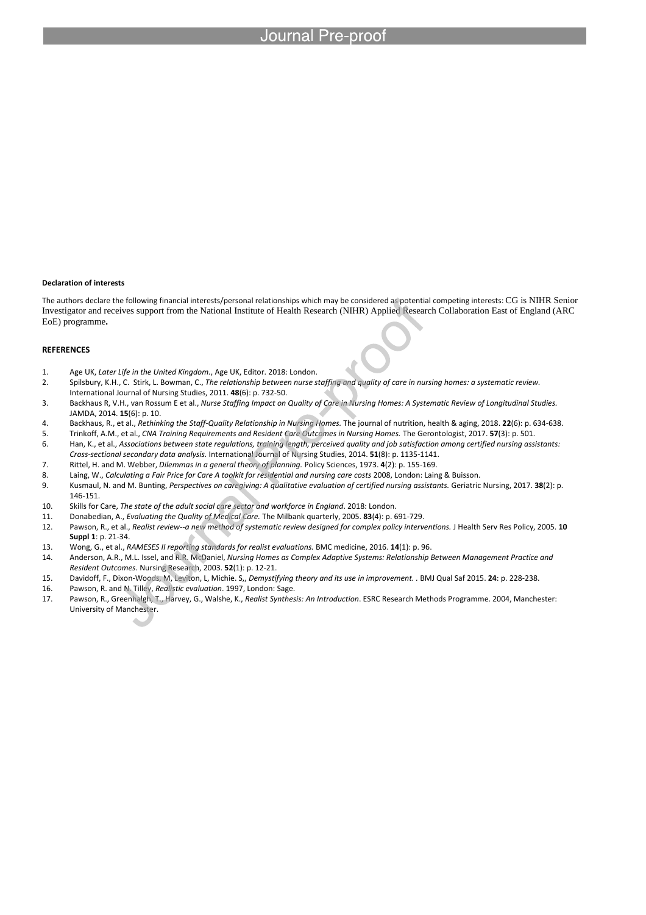#### **Declaration of interests**

The authors declare the following financial interests/personal relationships which may be considered as potential competing interests: CG is NIHR Senior Investigator and receives support from the National Institute of Health Research (NIHR) Applied Research Collaboration East of England (ARC EoE) programme**.**

#### **REFERENCES**

- 1. Age UK, *Later Life in the United Kingdom.*, Age UK, Editor. 2018: London.
- 2. Spilsbury, K.H., C. Stirk, L. Bowman, C., *The relationship between nurse staffing and quality of care in nursing homes: a systematic review.* International Journal of Nursing Studies, 2011. **48**(6): p. 732-50.
- 3. Backhaus R, V.H., van Rossum E et al., *Nurse Staffing Impact on Quality of Care in Nursing Homes: A Systematic Review of Longitudinal Studies.* JAMDA, 2014. **15**(6): p. 10.
- 4. Backhaus, R., et al., *Rethinking the Staff-Quality Relationship in Nursing Homes.* The journal of nutrition, health & aging, 2018. **22**(6): p. 634-638.
- 5. Trinkoff, A.M., et al., *CNA Training Requirements and Resident Care Outcomes in Nursing Homes.* The Gerontologist, 2017. **57**(3): p. 501.
- 6. Han, K., et al., *Associations between state regulations, training length, perceived quality and job satisfaction among certified nursing assistants: Cross-sectional secondary data analysis.* International Journal of Nursing Studies, 2014. **51**(8): p. 1135-1141.
- 7. Rittel, H. and M. Webber, *Dilemmas in a general theory of planning.* Policy Sciences, 1973. **4**(2): p. 155-169.
- 8. Laing, W., *Calculating a Fair Price for Care A toolkit for residential and nursing care costs* 2008, London: Laing & Buisson.
- 9. Kusmaul, N. and M. Bunting, *Perspectives on caregiving: A qualitative evaluation of certified nursing assistants.* Geriatric Nursing, 2017. **38**(2): p. 146-151.
- 10. Skills for Care, *The state of the adult social care sector and workforce in England*. 2018: London.
- 11. Donabedian, A., *Evaluating the Quality of Medical Care.* The Milbank quarterly, 2005. **83**(4): p. 691-729.
- 12. Pawson, R., et al., *Realist review--a new method of systematic review designed for complex policy interventions.* J Health Serv Res Policy, 2005. **10 Suppl 1**: p. 21-34.
- 13. Wong, G., et al., *RAMESES II reporting standards for realist evaluations.* BMC medicine, 2016. **14**(1): p. 96.
- 14. Anderson, A.R., M.L. Issel, and R.R. McDaniel, *Nursing Homes as Complex Adaptive Systems: Relationship Between Management Practice and Resident Outcomes.* Nursing Research, 2003. **52**(1): p. 12-21.
- 15. Davidoff, F., Dixon-Woods, M, Leviton, L, Michie. S,, *Demystifying theory and its use in improvement. .* BMJ Qual Saf 2015. **24**: p. 228-238.
- 16. Pawson, R. and N. Tilley, *Realistic evaluation*. 1997, London: Sage.
- 17. Pawson, R., Greenhalgh, T., Harvey, G., Walshe, K., *Realist Synthesis: An Introduction*. ESRC Research Methods Programme. 2004, Manchester: University of Manchester.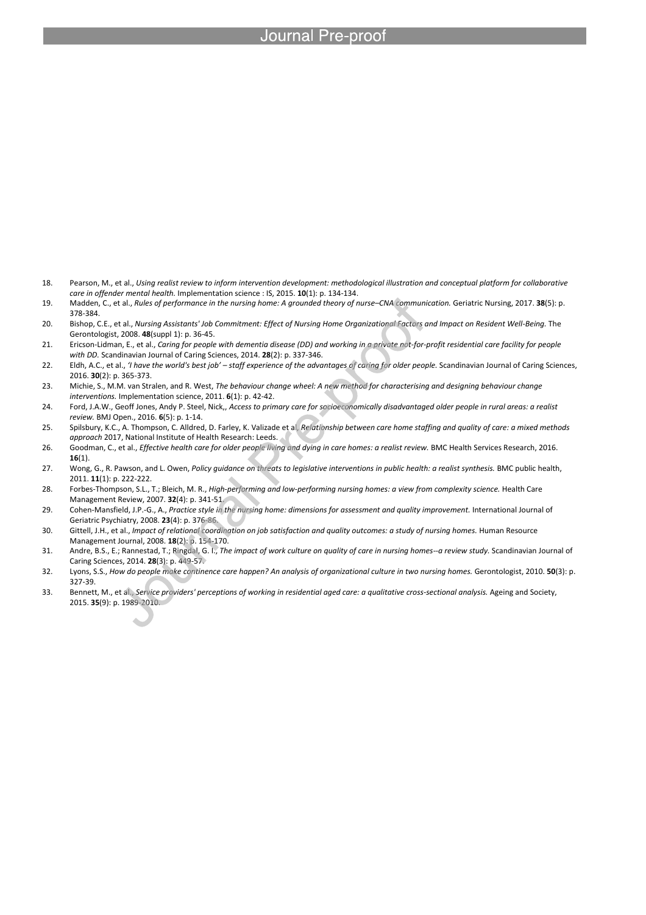- 18. Pearson, M., et al., *Using realist review to inform intervention development: methodological illustration and conceptual platform for collaborative care in offender mental health.* Implementation science : IS, 2015. **10**(1): p. 134-134.
- 19. Madden, C., et al., *Rules of performance in the nursing home: A grounded theory of nurse–CNA communication.* Geriatric Nursing, 2017. **38**(5): p. 378-384.
- 20. Bishop, C.E., et al., *Nursing Assistants' Job Commitment: Effect of Nursing Home Organizational Factors and Impact on Resident Well-Being.* The Gerontologist, 2008. **48**(suppl 1): p. 36-45.
- 21. Ericson‐Lidman, E., et al., *Caring for people with dementia disease (DD) and working in a private not‐for‐profit residential care facility for people with DD.* Scandinavian Journal of Caring Sciences, 2014. **28**(2): p. 337-346.
- 22. Eldh, A.C., et al., *'I have the world's best job' – staff experience of the advantages of caring for older people.* Scandinavian Journal of Caring Sciences, 2016. **30**(2): p. 365-373.
- 23. Michie, S., M.M. van Stralen, and R. West, *The behaviour change wheel: A new method for characterising and designing behaviour change interventions.* Implementation science, 2011. **6**(1): p. 42-42.
- 24. Ford, J.A.W., Geoff Jones, Andy P. Steel, Nick,, *Access to primary care for socioeconomically disadvantaged older people in rural areas: a realist review.* BMJ Open., 2016. **6**(5): p. 1-14.
- 25. Spilsbury, K.C., A. Thompson, C. Alldred, D. Farley, K. Valizade et al, *Relationship between care home staffing and quality of care: a mixed methods approach* 2017, National Institute of Health Research: Leeds.
- 26. Goodman, C., et al., *Effective health care for older people living and dying in care homes: a realist review.* BMC Health Services Research, 2016. **16**(1).
- 27. Wong, G., R. Pawson, and L. Owen, *Policy guidance on threats to legislative interventions in public health: a realist synthesis.* BMC public health, 2011. **11**(1): p. 222-222.
- 28. Forbes-Thompson, S.L., T.; Bleich, M. R., *High-performing and low-performing nursing homes: a view from complexity science.* Health Care Management Review, 2007. **32**(4): p. 341-51.
- 29. Cohen-Mansfield, J.P.-G., A., *Practice style in the nursing home: dimensions for assessment and quality improvement.* International Journal of Geriatric Psychiatry, 2008. **23**(4): p. 376-86.
- 30. Gittell, J.H., et al., *Impact of relational coordination on job satisfaction and quality outcomes: a study of nursing homes.* Human Resource Management Journal, 2008. **18**(2): p. 154-170.
- 31. Andre, B.S., E.; Rannestad, T.; Ringdal, G. I., *The impact of work culture on quality of care in nursing homes--a review study.* Scandinavian Journal of Caring Sciences, 2014. **28**(3): p. 449-57.
- 32. Lyons, S.S., *How do people make continence care happen? An analysis of organizational culture in two nursing homes.* Gerontologist, 2010. **50**(3): p. 327-39.
- 33. Bennett, M., et al., *Service providers' perceptions of working in residential aged care: a qualitative cross-sectional analysis.* Ageing and Society, 2015. **35**(9): p. 1989-2010.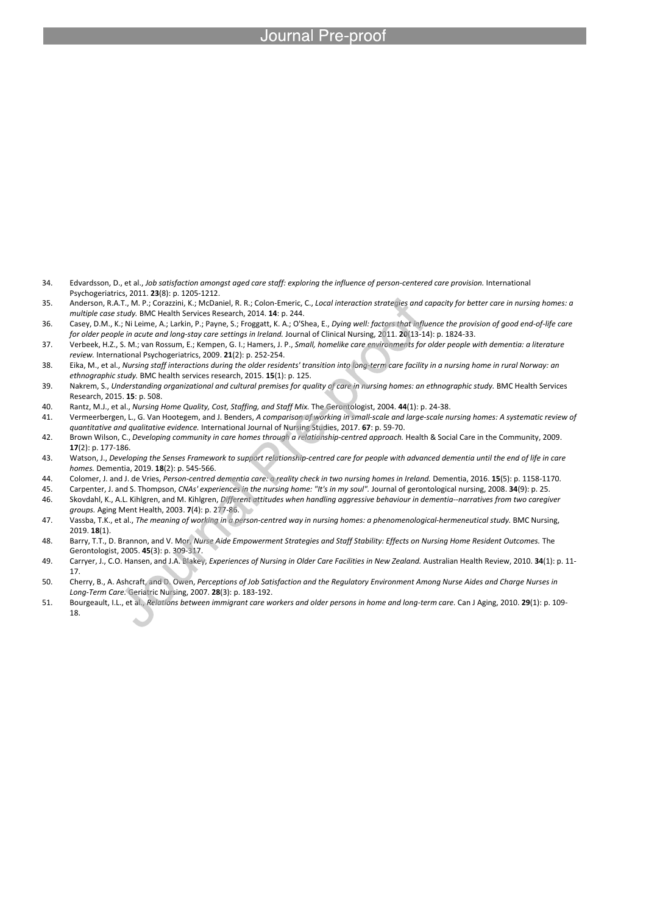- 34. Edvardsson, D., et al., *Job satisfaction amongst aged care staff: exploring the influence of person-centered care provision.* International Psychogeriatrics, 2011. **23**(8): p. 1205-1212.
- 35. Anderson, R.A.T., M. P.; Corazzini, K.; McDaniel, R. R.; Colon-Emeric, C., *Local interaction strategies and capacity for better care in nursing homes: a multiple case study.* BMC Health Services Research, 2014. **14**: p. 244.
- 36. Casey, D.M., K.; Ni Leime, A.; Larkin, P.; Payne, S.; Froggatt, K. A.; O'Shea, E., *Dying well: factors that influence the provision of good end-of-life care for older people in acute and long-stay care settings in Ireland.* Journal of Clinical Nursing, 2011. **20**(13-14): p. 1824-33.
- 37. Verbeek, H.Z., S. M.; van Rossum, E.; Kempen, G. I.; Hamers, J. P., *Small, homelike care environments for older people with dementia: a literature review.* International Psychogeriatrics, 2009. **21**(2): p. 252-254.
- 38. Eika, M., et al., *Nursing staff interactions during the older residents' transition into long-term care facility in a nursing home in rural Norway: an ethnographic study.* BMC health services research, 2015. **15**(1): p. 125.
- 39. Nakrem, S., *Understanding organizational and cultural premises for quality of care in nursing homes: an ethnographic study.* BMC Health Services Research, 2015. **15**: p. 508.
- 40. Rantz, M.J., et al., *Nursing Home Quality, Cost, Staffing, and Staff Mix.* The Gerontologist, 2004. **44**(1): p. 24-38.

- 41. Vermeerbergen, L., G. Van Hootegem, and J. Benders, *A comparison of working in small-scale and large-scale nursing homes: A systematic review of quantitative and qualitative evidence.* International Journal of Nursing Studies, 2017. **67**: p. 59-70.
- 42. Brown Wilson, C., *Developing community in care homes through a relationship‐centred approach.* Health & Social Care in the Community, 2009. **17**(2): p. 177-186.
- 43. Watson, J., *Developing the Senses Framework to support relationship-centred care for people with advanced dementia until the end of life in care homes.* Dementia, 2019. **18**(2): p. 545-566.
- 44. Colomer, J. and J. de Vries, *Person-centred dementia care: a reality check in two nursing homes in Ireland.* Dementia, 2016. **15**(5): p. 1158-1170.
- 45. Carpenter, J. and S. Thompson, *CNAs' experiences in the nursing home: "It's in my soul".* Journal of gerontological nursing, 2008. **34**(9): p. 25. 46. Skovdahl, K., A.L. Kihlgren, and M. Kihlgren, *Different attitudes when handling aggressive behaviour in dementia--narratives from two caregiver groups.* Aging Ment Health, 2003. **7**(4): p. 277-86.
- 47. Vassba, T.K., et al., *The meaning of working in a person-centred way in nursing homes: a phenomenological-hermeneutical study.* BMC Nursing, 2019. **18**(1).
- 48. Barry, T.T., D. Brannon, and V. Mor, *Nurse Aide Empowerment Strategies and Staff Stability: Effects on Nursing Home Resident Outcomes.* The Gerontologist, 2005. **45**(3): p. 309-317.
- 49. Carryer, J., C.O. Hansen, and J.A. Blakey, *Experiences of Nursing in Older Care Facilities in New Zealand.* Australian Health Review, 2010. **34**(1): p. 11- 17.
- 50. Cherry, B., A. Ashcraft, and D. Owen, *Perceptions of Job Satisfaction and the Regulatory Environment Among Nurse Aides and Charge Nurses in Long-Term Care.* Geriatric Nursing, 2007. **28**(3): p. 183-192.
- 51. Bourgeault, I.L., et al., *Relations between immigrant care workers and older persons in home and long-term care.* Can J Aging, 2010. **29**(1): p. 109- 18.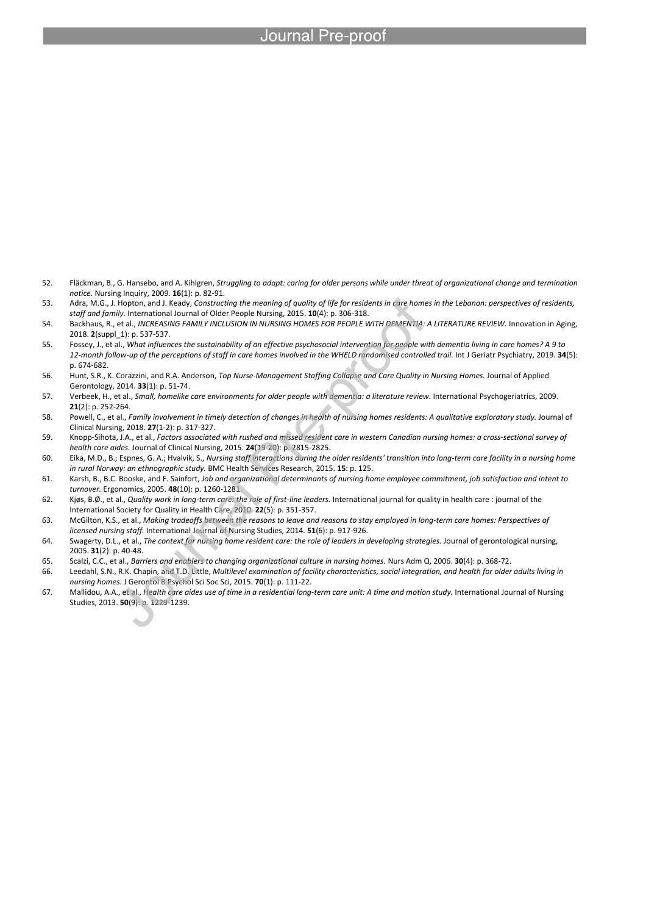- 52. Fläckman, B., G. Hansebo, and A. Kihlgren, *Struggling to adapt: caring for older persons while under threat of organizational change and termination notice.* Nursing Inquiry, 2009. **16**(1): p. 82-91.
- 53. Adra, M.G., J. Hopton, and J. Keady, *Constructing the meaning of quality of life for residents in care homes in the Lebanon: perspectives of residents, staff and family.* International Journal of Older People Nursing, 2015. **10**(4): p. 306-318.
- 54. Backhaus, R., et al., *INCREASING FAMILY INCLUSION IN NURSING HOMES FOR PEOPLE WITH DEMENTIA: A LITERATURE REVIEW.* Innovation in Aging, 2018. **2**(suppl\_1): p. 537-537.
- 55. Fossey, J., et al., *What influences the sustainability of an effective psychosocial intervention for people with dementia living in care homes? A 9 to 12-month follow-up of the perceptions of staff in care homes involved in the WHELD randomised controlled trail.* Int J Geriatr Psychiatry, 2019. **34**(5): p. 674-682.
- 56. Hunt, S.R., K. Corazzini, and R.A. Anderson, *Top Nurse-Management Staffing Collapse and Care Quality in Nursing Homes.* Journal of Applied Gerontology, 2014. **33**(1): p. 51-74.
- 57. Verbeek, H., et al., *Small, homelike care environments for older people with dementia: a literature review.* International Psychogeriatrics, 2009. **21**(2): p. 252-264.
- 58. Powell, C., et al., *Family involvement in timely detection of changes in health of nursing homes residents: A qualitative exploratory study.* Journal of Clinical Nursing, 2018. **27**(1-2): p. 317-327.
- 59. Knopp‐Sihota, J.A., et al., *Factors associated with rushed and missed resident care in western Canadian nursing homes: a cross‐sectional survey of health care aides.* Journal of Clinical Nursing, 2015. **24**(19-20): p. 2815-2825.
- 60. Eika, M.D., B.; Espnes, G. A.; Hvalvik, S., *Nursing staff interactions during the older residents' transition into long-term care facility in a nursing home in rural Norway: an ethnographic study.* BMC Health Services Research, 2015. **15**: p. 125.
- 61. Karsh, B., B.C. Booske, and F. Sainfort, *Job and organizational determinants of nursing home employee commitment, job satisfaction and intent to turnover.* Ergonomics, 2005. **48**(10): p. 1260-1281.
- 62. Kjøs, B.Ø., et al., *Quality work in long-term care: the role of first-line leaders.* International journal for quality in health care : journal of the International Society for Quality in Health Care, 2010. **22**(5): p. 351-357.
- 63. McGilton, K.S., et al., *Making tradeoffs between the reasons to leave and reasons to stay employed in long-term care homes: Perspectives of licensed nursing staff.* International Journal of Nursing Studies, 2014. **51**(6): p. 917-926.
- 64. Swagerty, D.L., et al., *The context for nursing home resident care: the role of leaders in developing strategies.* Journal of gerontological nursing, 2005. **31**(2): p. 40-48.
- 65. Scalzi, C.C., et al., *Barriers and enablers to changing organizational culture in nursing homes.* Nurs Adm Q, 2006. **30**(4): p. 368-72.
- 66. Leedahl, S.N., R.K. Chapin, and T.D. Little, *Multilevel examination of facility characteristics, social integration, and health for older adults living in nursing homes.* J Gerontol B Psychol Sci Soc Sci, 2015. **70**(1): p. 111-22.
- 67. Mallidou, A.A., et al., *Health care aides use of time in a residential long-term care unit: A time and motion study.* International Journal of Nursing Studies, 2013. **50**(9): p. 1229-1239.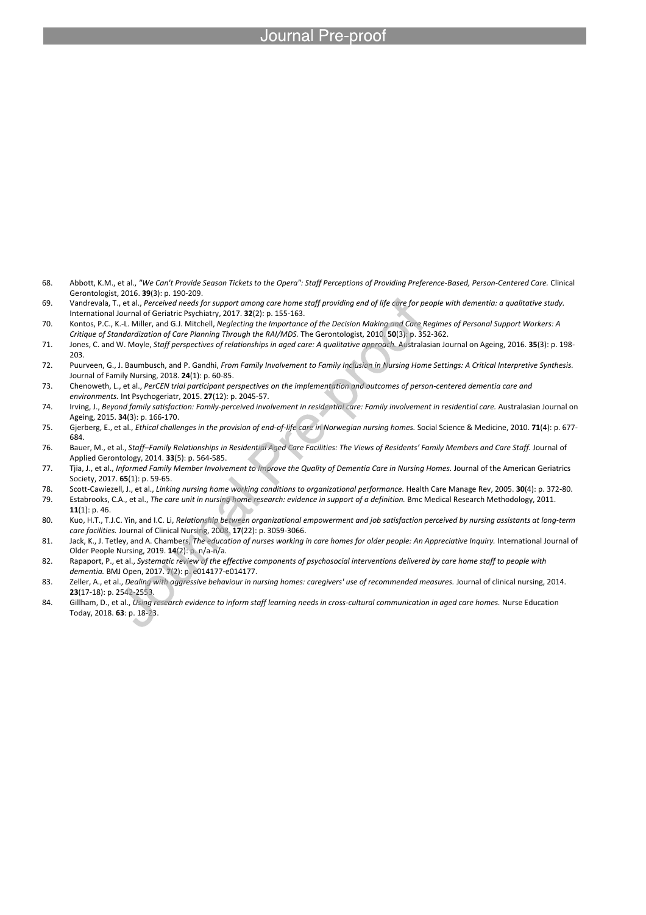- 68. Abbott, K.M., et al., *"We Can't Provide Season Tickets to the Opera": Staff Perceptions of Providing Preference-Based, Person-Centered Care.* Clinical Gerontologist, 2016. **39**(3): p. 190-209.
- 69. Vandrevala, T., et al., *Perceived needs for support among care home staff providing end of life care for people with dementia: a qualitative study.* International Journal of Geriatric Psychiatry, 2017. **32**(2): p. 155-163.
- 70. Kontos, P.C., K.-L. Miller, and G.J. Mitchell, *Neglecting the Importance of the Decision Making and Care Regimes of Personal Support Workers: A Critique of Standardization of Care Planning Through the RAI/MDS.* The Gerontologist, 2010. **50**(3): p. 352-362.
- 71. Jones, C. and W. Moyle, *Staff perspectives of relationships in aged care: A qualitative approach.* Australasian Journal on Ageing, 2016. **35**(3): p. 198- 203.
- 72. Puurveen, G., J. Baumbusch, and P. Gandhi, *From Family Involvement to Family Inclusion in Nursing Home Settings: A Critical Interpretive Synthesis.* Journal of Family Nursing, 2018. **24**(1): p. 60-85.
- 73. Chenoweth, L., et al., *PerCEN trial participant perspectives on the implementation and outcomes of person-centered dementia care and environments.* Int Psychogeriatr, 2015. **27**(12): p. 2045-57.
- 74. Irving, J., *Beyond family satisfaction: Family-perceived involvement in residential care: Family involvement in residential care.* Australasian Journal on Ageing, 2015. **34**(3): p. 166-170.
- 75. Gjerberg, E., et al., *Ethical challenges in the provision of end-of-life care in Norwegian nursing homes.* Social Science & Medicine, 2010. **71**(4): p. 677- 684.
- 76. Bauer, M., et al., *Staff–Family Relationships in Residential Aged Care Facilities: The Views of Residents' Family Members and Care Staff.* Journal of Applied Gerontology, 2014. **33**(5): p. 564-585.
- 77. Tjia, J., et al., *Informed Family Member Involvement to Improve the Quality of Dementia Care in Nursing Homes.* Journal of the American Geriatrics Society, 2017. **65**(1): p. 59-65.
- 78. Scott-Cawiezell, J., et al., *Linking nursing home working conditions to organizational performance.* Health Care Manage Rev, 2005. **30**(4): p. 372-80. 79. Estabrooks, C.A., et al., *The care unit in nursing home research: evidence in support of a definition.* Bmc Medical Research Methodology, 2011.
- **11**(1): p. 46. 80. Kuo, H.T., T.J.C. Yin, and I.C. Li, *Relationship between organizational empowerment and job satisfaction perceived by nursing assistants at long‐term care facilities.* Journal of Clinical Nursing, 2008. **17**(22): p. 3059-3066.
- 81. Jack, K., J. Tetley, and A. Chambers, *The education of nurses working in care homes for older people: An Appreciative Inquiry.* International Journal of Older People Nursing, 2019. **14**(2): p. n/a-n/a.
- 82. Rapaport, P., et al., *Systematic review of the effective components of psychosocial interventions delivered by care home staff to people with dementia.* BMJ Open, 2017. **7**(2): p. e014177-e014177.
- 83. Zeller, A., et al., *Dealing with aggressive behaviour in nursing homes: caregivers' use of recommended measures.* Journal of clinical nursing, 2014. **23**(17-18): p. 2542-2553.
- 84. Gillham, D., et al., *Using research evidence to inform staff learning needs in cross-cultural communication in aged care homes.* Nurse Education Today, 2018. **63**: p. 18-23.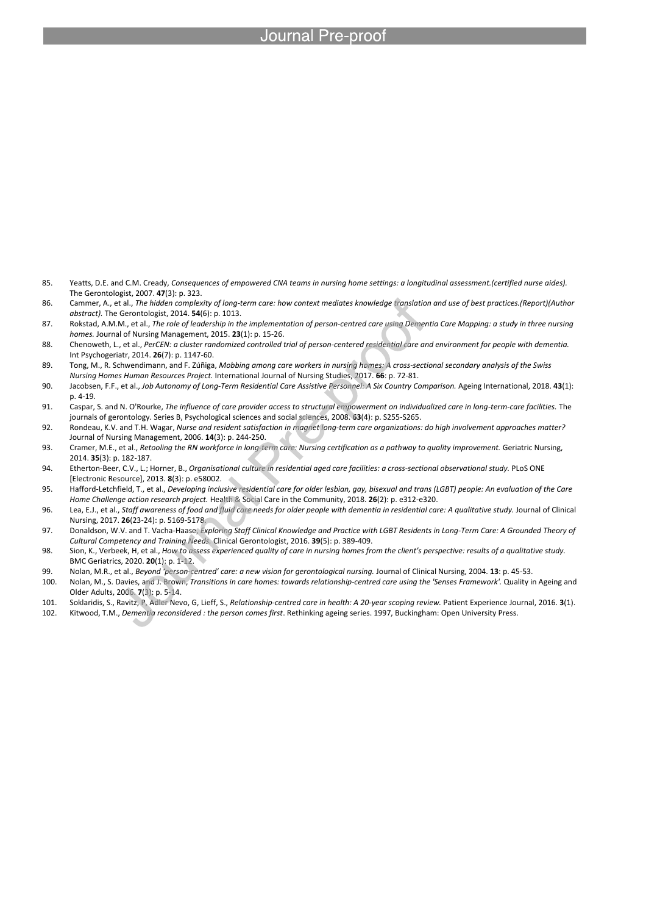- 85. Yeatts, D.E. and C.M. Cready, *Consequences of empowered CNA teams in nursing home settings: a longitudinal assessment.(certified nurse aides).* The Gerontologist, 2007. **47**(3): p. 323.
- 86. Cammer, A., et al., *The hidden complexity of long-term care: how context mediates knowledge translation and use of best practices.(Report)(Author abstract).* The Gerontologist, 2014. **54**(6): p. 1013.
- 87. Rokstad, A.M.M., et al., *The role of leadership in the implementation of person‐centred care using Dementia Care Mapping: a study in three nursing homes.* Journal of Nursing Management, 2015. **23**(1): p. 15-26.
- 88. Chenoweth, L., et al., *PerCEN: a cluster randomized controlled trial of person-centered residential care and environment for people with dementia.* Int Psychogeriatr, 2014. **26**(7): p. 1147-60.
- 89. Tong, M., R. Schwendimann, and F. Zúñiga, *Mobbing among care workers in nursing homes: A cross-sectional secondary analysis of the Swiss Nursing Homes Human Resources Project.* International Journal of Nursing Studies, 2017. **66**: p. 72-81.
- 90. Jacobsen, F.F., et al., *Job Autonomy of Long-Term Residential Care Assistive Personnel: A Six Country Comparison.* Ageing International, 2018. **43**(1): p. 4-19.
- 91. Caspar, S. and N. O'Rourke, *The influence of care provider access to structural empowerment on individualized care in long-term-care facilities.* The journals of gerontology. Series B, Psychological sciences and social sciences, 2008. **63**(4): p. S255-S265.
- 92. Rondeau, K.V. and T.H. Wagar, *Nurse and resident satisfaction in magnet long‐term care organizations: do high involvement approaches matter?* Journal of Nursing Management, 2006. **14**(3): p. 244-250.
- 93. Cramer, M.E., et al., *Retooling the RN workforce in long-term care: Nursing certification as a pathway to quality improvement.* Geriatric Nursing, 2014. **35**(3): p. 182-187.
- 94. Etherton-Beer, C.V., L.; Horner, B., *Organisational culture in residential aged care facilities: a cross-sectional observational study.* PLoS ONE [Electronic Resource], 2013. **8**(3): p. e58002.
- 95. Hafford‐Letchfield, T., et al., *Developing inclusive residential care for older lesbian, gay, bisexual and trans (LGBT) people: An evaluation of the Care Home Challenge action research project.* Health & Social Care in the Community, 2018. **26**(2): p. e312-e320.
- 96. Lea, E.J., et al., *Staff awareness of food and fluid care needs for older people with dementia in residential care: A qualitative study.* Journal of Clinical Nursing, 2017. **26**(23-24): p. 5169-5178.
- 97. Donaldson, W.V. and T. Vacha-Haase, *Exploring Staff Clinical Knowledge and Practice with LGBT Residents in Long-Term Care: A Grounded Theory of Cultural Competency and Training Needs.* Clinical Gerontologist, 2016. **39**(5): p. 389-409.
- 98. Sion, K., Verbeek, H, et al., *How to assess experienced quality of care in nursing homes from the client's perspective: results of a qualitative study.* BMC Geriatrics, 2020. **20**(1): p. 1-12.
- 99. Nolan, M.R., et al., *Beyond 'person‐centred' care: a new vision for gerontological nursing.* Journal of Clinical Nursing, 2004. **13**: p. 45-53.
- 100. Nolan, M., S. Davies, and J. Brown, *Transitions in care homes: towards relationship-centred care using the 'Senses Framework'.* Quality in Ageing and Older Adults, 2006. **7**(3): p. 5-14.
- 101. Soklaridis, S., Ravitz, P, Adler Nevo, G, Lieff, S., *Relationship-centred care in health: A 20-year scoping review.* Patient Experience Journal, 2016. **3**(1).
- 102. Kitwood, T.M., *Dementia reconsidered : the person comes first*. Rethinking ageing series. 1997, Buckingham: Open University Press.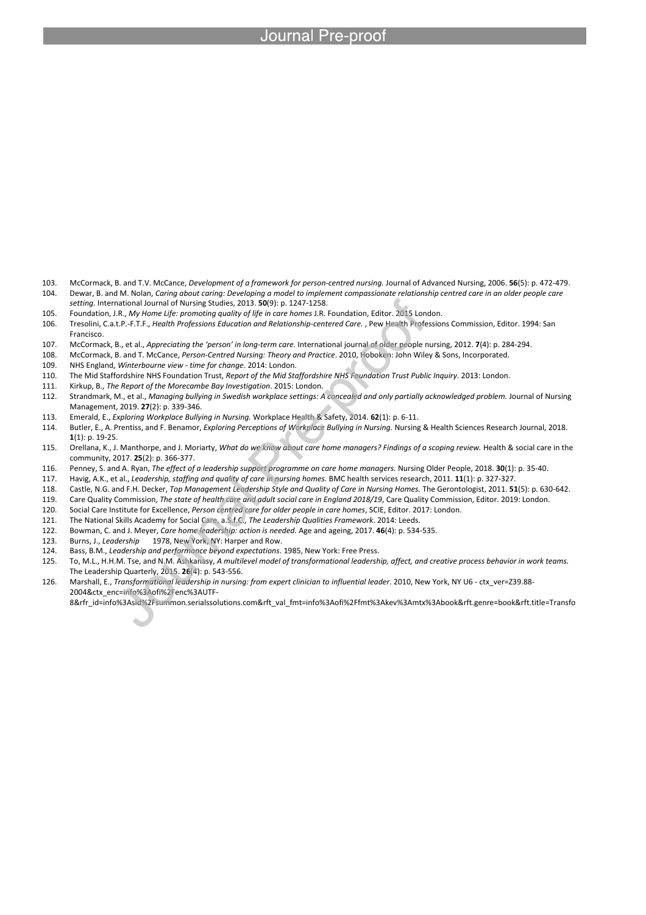- 103. McCormack, B. and T.V. McCance, *Development of a framework for person‐centred nursing.* Journal of Advanced Nursing, 2006. **56**(5): p. 472-479. 104. Dewar, B. and M. Nolan, *Caring about caring: Developing a model to implement compassionate relationship centred care in an older people care*
- *setting.* International Journal of Nursing Studies, 2013. **50**(9): p. 1247-1258.
- 105. Foundation, J.R., *My Home Life: promoting quality of life in care homes* J.R. Foundation, Editor. 2015 London.

- 106. Tresolini, C.a.t.P.-F.T.F., *Health Professions Education and Relationship-centered Care.* , Pew Health Professions Commission, Editor. 1994: San Francisco.
- 107. McCormack, B., et al., *Appreciating the 'person' in long‐term care.* International journal of older people nursing, 2012. **7**(4): p. 284-294.
- 108. McCormack, B. and T. McCance, *Person-Centred Nursing: Theory and Practice*. 2010, Hoboken: John Wiley & Sons, Incorporated.
- 109. NHS England, *Winterbourne view - time for change*. 2014: London.
- 110. The Mid Staffordshire NHS Foundation Trust, *Report of the Mid Staffordshire NHS Foundation Trust Public Inquiry*. 2013: London.
- 111. Kirkup, B., *The Report of the Morecambe Bay Investigation*. 2015: London.
- 112. Strandmark, M., et al., *Managing bullying in Swedish workplace settings: A concealed and only partially acknowledged problem.* Journal of Nursing Management, 2019. **27**(2): p. 339-346.
- 113. Emerald, E., *Exploring Workplace Bullying in Nursing.* Workplace Health & Safety, 2014. **62**(1): p. 6-11.
- 114. Butler, E., A. Prentiss, and F. Benamor, *Exploring Perceptions of Workplace Bullying in Nursing.* Nursing & Health Sciences Research Journal, 2018. **1**(1): p. 19-25.
- 115. Orellana, K., J. Manthorpe, and J. Moriarty, *What do we know about care home managers? Findings of a scoping review.* Health & social care in the community, 2017. **25**(2): p. 366-377.
- 116. Penney, S. and A. Ryan, *The effect of a leadership support programme on care home managers.* Nursing Older People, 2018. **30**(1): p. 35-40.
- 117. Havig, A.K., et al., *Leadership, staffing and quality of care in nursing homes.* BMC health services research, 2011. **11**(1): p. 327-327.
- 118. Castle, N.G. and F.H. Decker, *Top Management Leadership Style and Quality of Care in Nursing Homes.* The Gerontologist, 2011. **51**(5): p. 630-642.
- 119. Care Quality Commission, *The state of health care and adult social care in England 2018/19*, Care Quality Commission, Editor. 2019: London.
- 120. Social Care Institute for Excellence, *Person centred care for older people in care homes*, SCIE, Editor. 2017: London.
- 121. The National Skills Academy for Social Care, a.S.f.C., *The Leadership Qualities Framework*. 2014: Leeds.
- 122. Bowman, C. and J. Meyer, *Care home leadership: action is needed.* Age and ageing, 2017. **46**(4): p. 534-535.
- 123. Burns, J., *Leadership* 1978, New York, NY: Harper and Row.
- 124. Bass, B.M., *Leadership and performance beyond expectations*. 1985, New York: Free Press.
- 125. To, M.L., H.H.M. Tse, and N.M. Ashkanasy, *A multilevel model of transformational leadership, affect, and creative process behavior in work teams.* The Leadership Quarterly, 2015. **26**(4): p. 543-556.
- 126. Marshall, E., *Transformational leadership in nursing: from expert clinician to influential leader*. 2010, New York, NY U6 ctx\_ver=Z39.88- 2004&ctx\_enc=info%3Aofi%2Fenc%3AUTF-8&rfr\_id=info%3Asid%2Fsummon.serialssolutions.com&rft\_val\_fmt=info%3Aofi%2Ffmt%3Akev%3Amtx%3Abook&rft.genre=book&rft.title=Transfo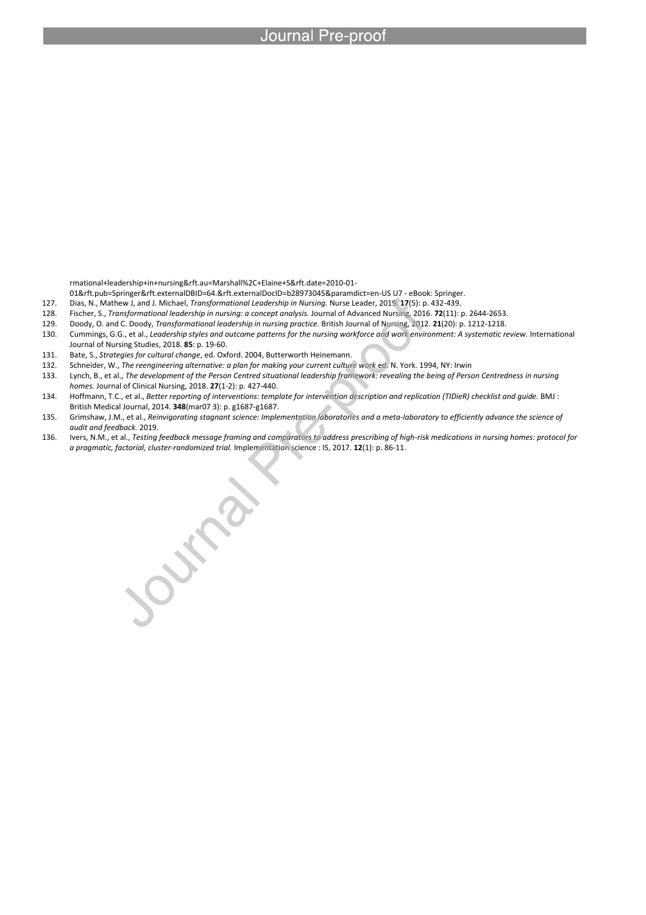rmational+leadership+in+nursing&rft.au=Marshall%2C+Elaine+S&rft.date=2010-01-

l

01&rft.pub=Springer&rft.externalDBID=64.&rft.externalDocID=b28973045&paramdict=en-US U7 - eBook: Springer.

- 127. Dias, N., Mathew J, and J. Michael, *Transformational Leadership in Nursing.* Nurse Leader, 2019. **17**(5): p. 432-439.
- 128. Fischer, S., *Transformational leadership in nursing: a concept analysis.* Journal of Advanced Nursing, 2016. **72**(11): p. 2644-2653.
- 129. Doody, O. and C. Doody, *Transformational leadership in nursing practice.* British Journal of Nursing, 2012. **21**(20): p. 1212-1218.
- 130. Cummings, G.G., et al., *Leadership styles and outcome patterns for the nursing workforce and work environment: A systematic review.* International Journal of Nursing Studies, 2018. **85**: p. 19-60.
- 131. Bate, S., *Strategies for cultural change*, ed. Oxford. 2004, Butterworth Heinemann.
- 
- 132. Schneider, W., *The reengineering alternative: a plan for making your current culture work ed.* N. York. 1994, NY: Irwin<br>133. Lynch, B., et al., *The development of the Person Centred situational leadership framework:* 133. Lynch, B., et al., *The development of the Person Centred situational leadership framework: revealing the being of Person Centredness in nursing homes.* Journal of Clinical Nursing, 2018. **27**(1-2): p. 427-440.
- 134. Hoffmann, T.C., et al., *Better reporting of interventions: template for intervention description and replication (TIDieR) checklist and guide.* BMJ : British Medical Journal, 2014. **348**(mar07 3): p. g1687-g1687.
- 135. Grimshaw, J.M., et al., *Reinvigorating stagnant science: Implementation laboratories and a meta-laboratory to efficiently advance the science of audit and feedback.* 2019.
- 136. Ivers, N.M., et al., *Testing feedback message framing and comparators to address prescribing of high-risk medications in nursing homes: protocol for a pragmatic, factorial, cluster-randomized trial.* Implementation science : IS, 2017. **12**(1): p. 86-11.

July 1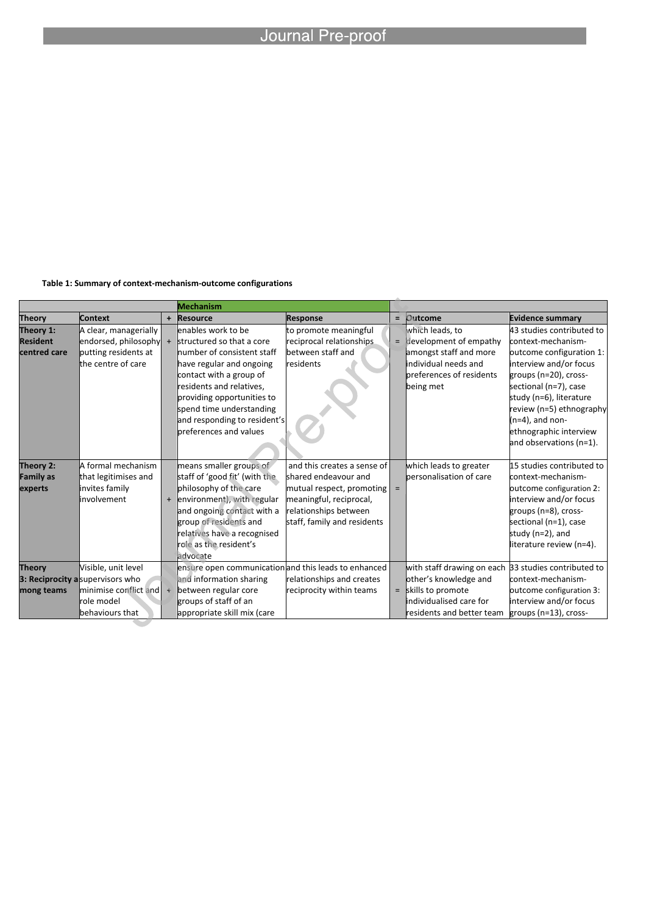#### **Table 1: Summary of context-mechanism-outcome configurations**

|                                              |                                                                                                                     |  | <b>Mechanism</b>                                                                                                                                                                                                                                                                     |                                                                                                                                                                     |          |                                                                                                                                                                |                                                                                                                                                                                                                                                                                           |
|----------------------------------------------|---------------------------------------------------------------------------------------------------------------------|--|--------------------------------------------------------------------------------------------------------------------------------------------------------------------------------------------------------------------------------------------------------------------------------------|---------------------------------------------------------------------------------------------------------------------------------------------------------------------|----------|----------------------------------------------------------------------------------------------------------------------------------------------------------------|-------------------------------------------------------------------------------------------------------------------------------------------------------------------------------------------------------------------------------------------------------------------------------------------|
| <b>Theory</b>                                | Context                                                                                                             |  | + Resource                                                                                                                                                                                                                                                                           | <b>Response</b>                                                                                                                                                     |          | $=$ Outcome                                                                                                                                                    | <b>Evidence summary</b>                                                                                                                                                                                                                                                                   |
| Theory 1:<br><b>Resident</b><br>centred care | A clear, managerially<br>endorsed, philosophy $+$<br>putting residents at<br>the centre of care                     |  | enables work to be<br>structured so that a core<br>number of consistent staff<br>have regular and ongoing<br>contact with a group of<br>residents and relatives,<br>providing opportunities to<br>spend time understanding<br>and responding to resident's<br>preferences and values | to promote meaningful<br>reciprocal relationships<br>between staff and<br>residents                                                                                 |          | which leads, to<br>$=$ development of empathy<br>amongst staff and more<br>individual needs and<br>breferences of residents<br>being met                       | 43 studies contributed to<br>context-mechanism-<br>outcome configuration 1:<br>interview and/or focus<br>groups (n=20), cross-<br>sectional (n=7), case<br>study (n=6), literature<br>review (n=5) ethnography<br>$(n=4)$ , and non-<br>ethnographic interview<br>and observations (n=1). |
| Theory 2:<br><b>Family as</b><br>experts     | A formal mechanism<br>that legitimises and<br>invites family<br>involvement                                         |  | means smaller groups of<br>staff of 'good fit' (with the<br>philosophy of the care<br>+ environment), with regular<br>and ongoing contact with a<br>group of residents and<br>relatives have a recognised<br>role as the resident's<br>advocate                                      | and this creates a sense of<br>shared endeavour and<br>mutual respect, promoting<br>meaningful, reciprocal,<br>relationships between<br>staff, family and residents | $\equiv$ | which leads to greater<br>bersonalisation of care                                                                                                              | 15 studies contributed to<br>context-mechanism-<br>outcome configuration 2:<br>interview and/or focus<br>groups (n=8), cross-<br>sectional (n=1), case<br>study (n=2), and<br>literature review (n=4).                                                                                    |
| <b>Theory</b><br>mong teams                  | Visible, unit level<br>3: Reciprocity a supervisors who<br>minimise conflict and l<br>role model<br>behaviours that |  | ensure open communication and this leads to enhanced<br>and information sharing<br>between regular core<br>groups of staff of an<br>appropriate skill mix (care                                                                                                                      | relationships and creates<br>reciprocity within teams                                                                                                               |          | with staff drawing on each 33 studies contributed to<br>other's knowledge and<br>$=$ skills to promote<br>individualised care for<br>residents and better team | context-mechanism-<br>outcome configuration 3:<br>interview and/or focus<br>groups (n=13), cross-                                                                                                                                                                                         |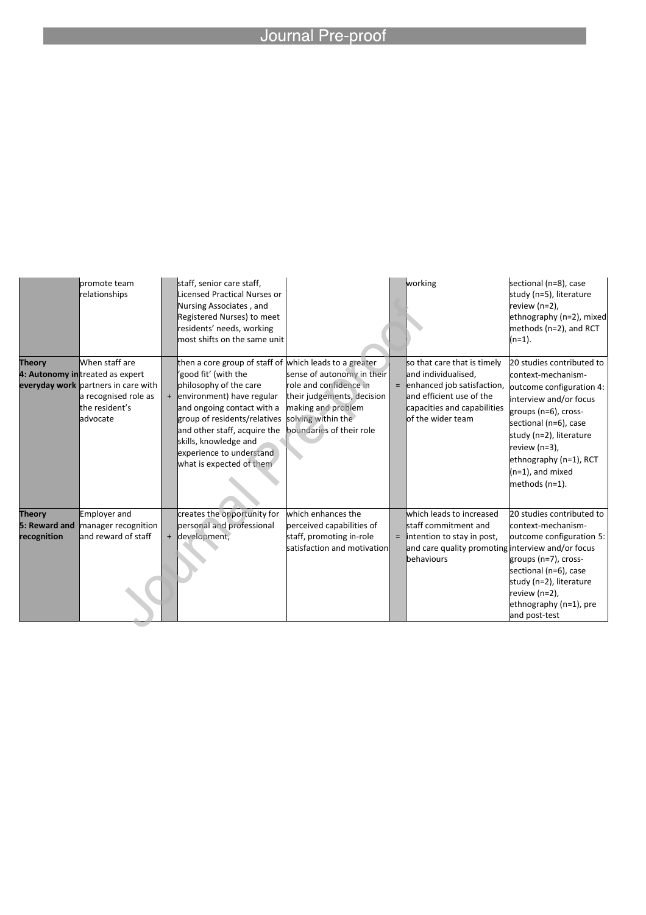|                                               | bromote team<br>relationships                                                                                                                   | staff, senior care staff,<br>Licensed Practical Nurses or<br>Nursing Associates, and<br>Registered Nurses) to meet<br>residents' needs, working<br>most shifts on the same unit                                                                                                                                        |                                                                                                                                                            | working                                                                                                                                                              | sectional (n=8), case<br>study (n=5), literature<br>review (n=2),<br>ethnography (n=2), mixed<br>methods (n=2), and RCT<br>$(n=1).$                                                                                                                                   |
|-----------------------------------------------|-------------------------------------------------------------------------------------------------------------------------------------------------|------------------------------------------------------------------------------------------------------------------------------------------------------------------------------------------------------------------------------------------------------------------------------------------------------------------------|------------------------------------------------------------------------------------------------------------------------------------------------------------|----------------------------------------------------------------------------------------------------------------------------------------------------------------------|-----------------------------------------------------------------------------------------------------------------------------------------------------------------------------------------------------------------------------------------------------------------------|
| <b>Theory</b>                                 | When staff are<br>4: Autonomy intreated as expert<br>everyday work partners in care with<br>a recognised role as<br>the resident's<br>ladvocate | then a core group of staff of which leads to a greater<br>'good fit' (with the<br>philosophy of the care<br>+ environment) have regular<br>and ongoing contact with a<br>group of residents/relatives<br>and other staff, acquire the<br>skills, knowledge and<br>experience to understand<br>what is expected of them | sense of autonomy in their<br>role and confidence in<br>their judgements, decision<br>making and problem<br>solving within the<br>boundaries of their role | so that care that is timely<br>and individualised,<br>$=$ enhanced job satisfaction,<br>and efficient use of the<br>capacities and capabilities<br>of the wider team | 20 studies contributed to<br>context-mechanism-<br>outcome configuration 4:<br>interview and/or focus<br>groups (n=6), cross-<br>sectional (n=6), case<br>study (n=2), literature<br>review (n=3),<br>ethnography (n=1), RCT<br>$(n=1)$ , and mixed<br>methods (n=1). |
| <b>Theory</b><br>5: Reward and<br>recognition | Employer and<br>manager recognition<br>land reward of staff                                                                                     | creates the opportunity for<br>personal and professional<br>+ development,                                                                                                                                                                                                                                             | which enhances the<br>perceived capabilities of<br>staff, promoting in-role<br>satisfaction and motivation                                                 | which leads to increased<br>staff commitment and<br>$=$  intention to stay in post,<br>and care quality promoting interview and/or focus<br><b>behaviours</b>        | 20 studies contributed to<br>context-mechanism-<br>outcome configuration 5:<br>groups (n=7), cross-<br>sectional (n=6), case<br>study (n=2), literature<br>review (n=2),<br>ethnography $(n=1)$ , pre<br>and post-test                                                |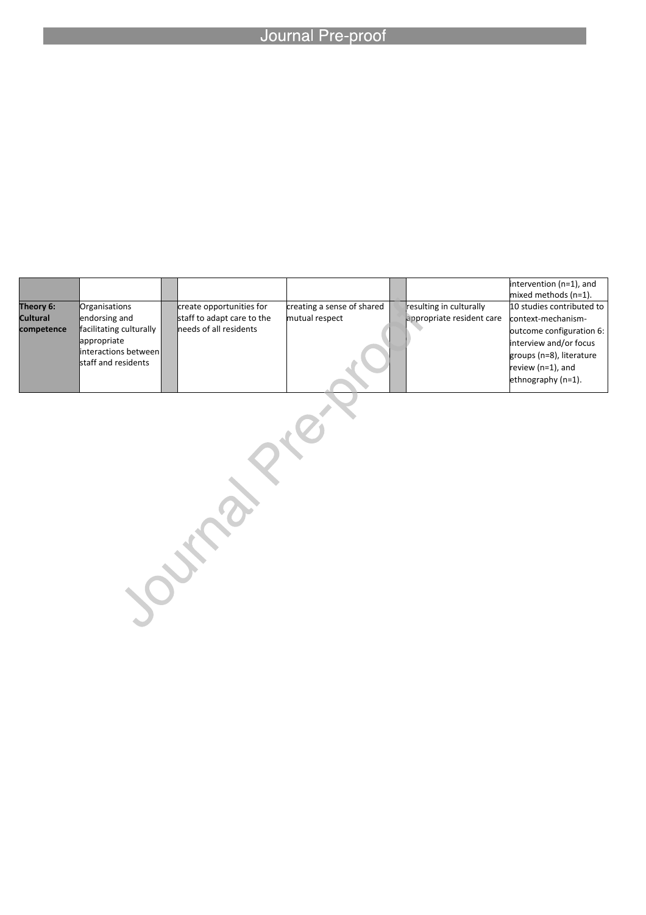l

|                 |                                                                                        |                            |                            |                           | $\frac{1}{2}$ intervention (n=1), and<br>mixed methods (n=1).                                                                   |
|-----------------|----------------------------------------------------------------------------------------|----------------------------|----------------------------|---------------------------|---------------------------------------------------------------------------------------------------------------------------------|
| Theory 6:       | Organisations                                                                          | create opportunities for   | creating a sense of shared | resulting in culturally   | 10 studies contributed to                                                                                                       |
| <b>Cultural</b> | endorsing and                                                                          | staff to adapt care to the | mutual respect             | appropriate resident care | context-mechanism-                                                                                                              |
| competence      | facilitating culturally<br>appropriate<br>linteractions between<br>staff and residents | needs of all residents     |                            |                           | outcome configuration 6:<br>interview and/or focus<br>groups (n=8), literature<br>review $(n=1)$ , and<br>ethnography $(n=1)$ . |

Journal Prior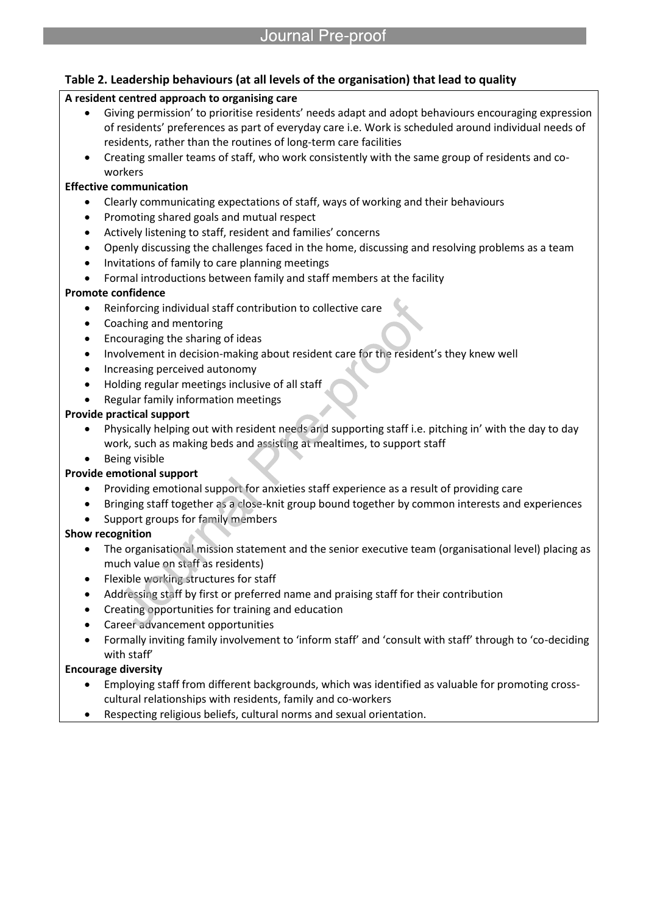# **Table 2. Leadership behaviours (at all levels of the organisation) that lead to quality**

#### **A resident centred approach to organising care**

- Giving permission' to prioritise residents' needs adapt and adopt behaviours encouraging expression of residents' preferences as part of everyday care i.e. Work is scheduled around individual needs of residents, rather than the routines of long-term care facilities
- Creating smaller teams of staff, who work consistently with the same group of residents and coworkers

#### **Effective communication**

- Clearly communicating expectations of staff, ways of working and their behaviours
- Promoting shared goals and mutual respect
- Actively listening to staff, resident and families' concerns

l

- Openly discussing the challenges faced in the home, discussing and resolving problems as a team
- Invitations of family to care planning meetings
- Formal introductions between family and staff members at the facility

#### **Promote confidence**

- Reinforcing individual staff contribution to collective care
- Coaching and mentoring
- Encouraging the sharing of ideas
- Involvement in decision-making about resident care for the resident's they knew well
- Increasing perceived autonomy
- Holding regular meetings inclusive of all staff
- Regular family information meetings

#### **Provide practical support**

- Physically helping out with resident needs and supporting staff i.e. pitching in' with the day to day work, such as making beds and assisting at mealtimes, to support staff
- Being visible

#### **Provide emotional support**

- Providing emotional support for anxieties staff experience as a result of providing care
- Bringing staff together as a close-knit group bound together by common interests and experiences
- Support groups for family members

#### **Show recognition**

- The organisational mission statement and the senior executive team (organisational level) placing as much value on staff as residents)
- Flexible working structures for staff
- Addressing staff by first or preferred name and praising staff for their contribution
- Creating opportunities for training and education
- Career advancement opportunities
- Formally inviting family involvement to 'inform staff' and 'consult with staff' through to 'co-deciding with staff'

### **Encourage diversity**

- Employing staff from different backgrounds, which was identified as valuable for promoting crosscultural relationships with residents, family and co-workers
- Respecting religious beliefs, cultural norms and sexual orientation.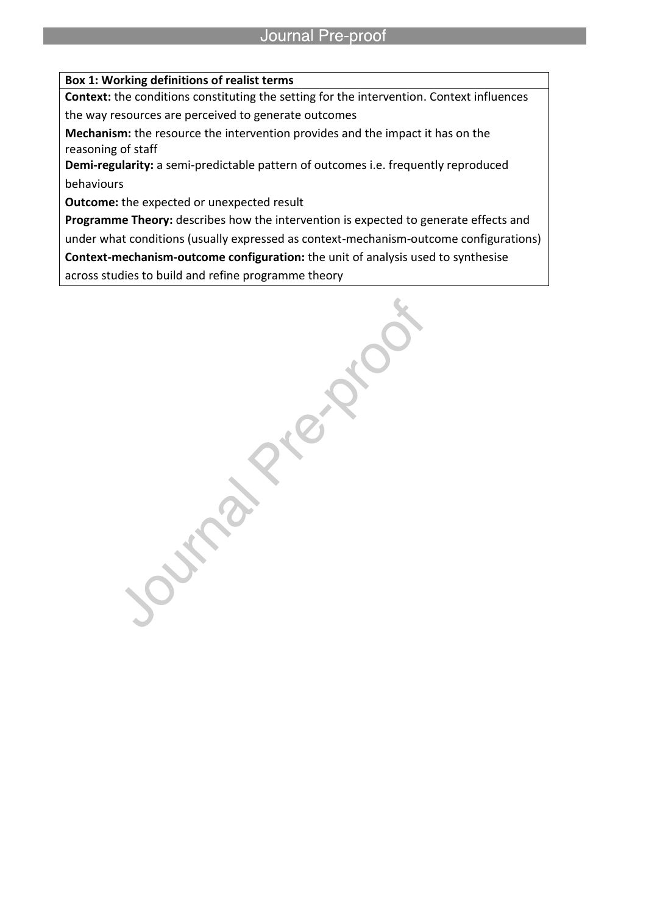#### **Box 1: Working definitions of realist terms**

l

**Context:** the conditions constituting the setting for the intervention. Context influences the way resources are perceived to generate outcomes

**Mechanism:** the resource the intervention provides and the impact it has on the reasoning of staff

**Demi-regularity:** a semi-predictable pattern of outcomes i.e. frequently reproduced behaviours

**Outcome:** the expected or unexpected result

**Programme Theory:** describes how the intervention is expected to generate effects and under what conditions (usually expressed as context-mechanism-outcome configurations) **Context-mechanism-outcome configuration:** the unit of analysis used to synthesise across studies to build and refine programme theory

**Artists Rights**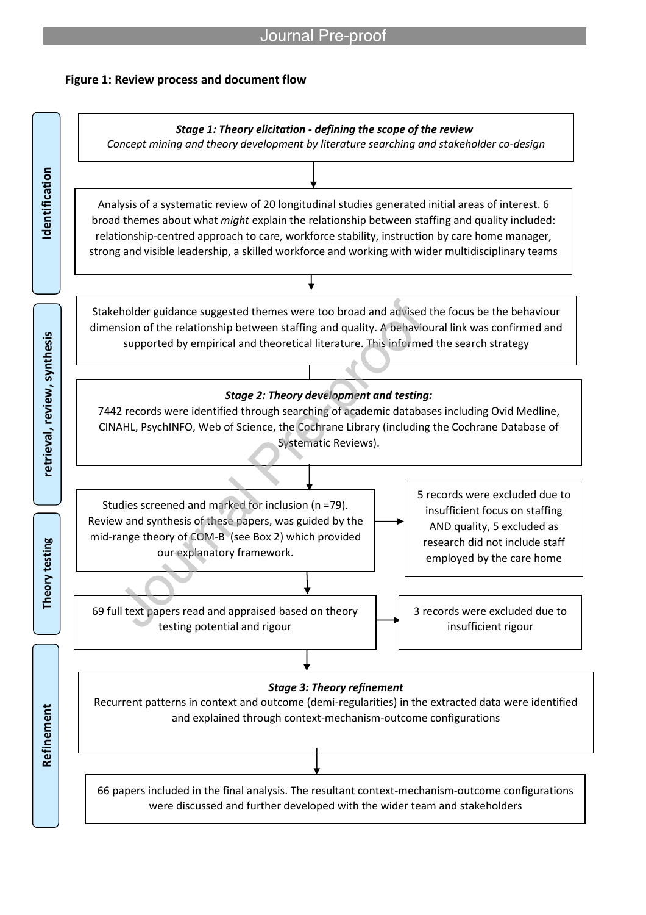### **Figure 1: Review process and document flow**

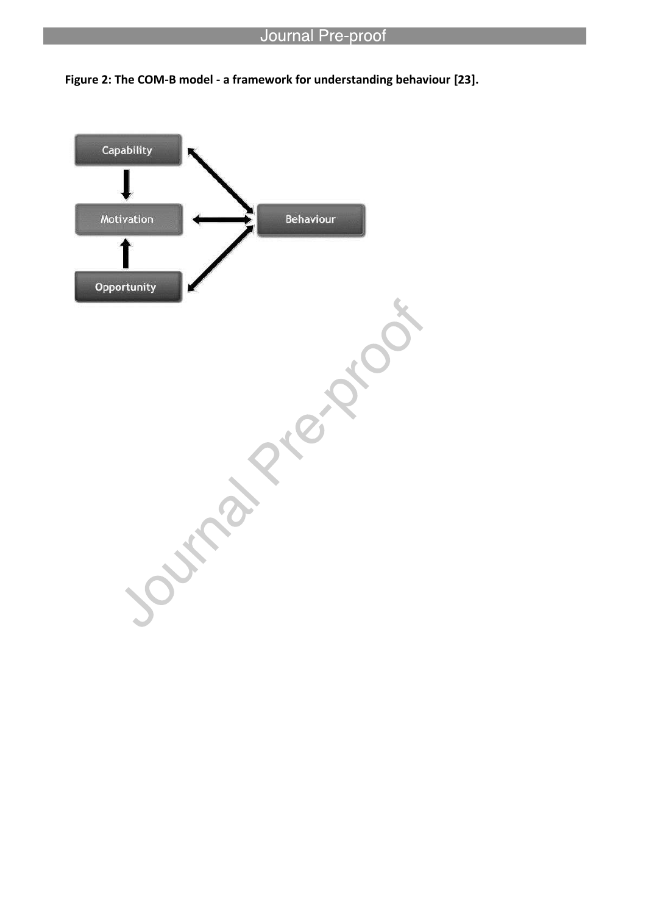